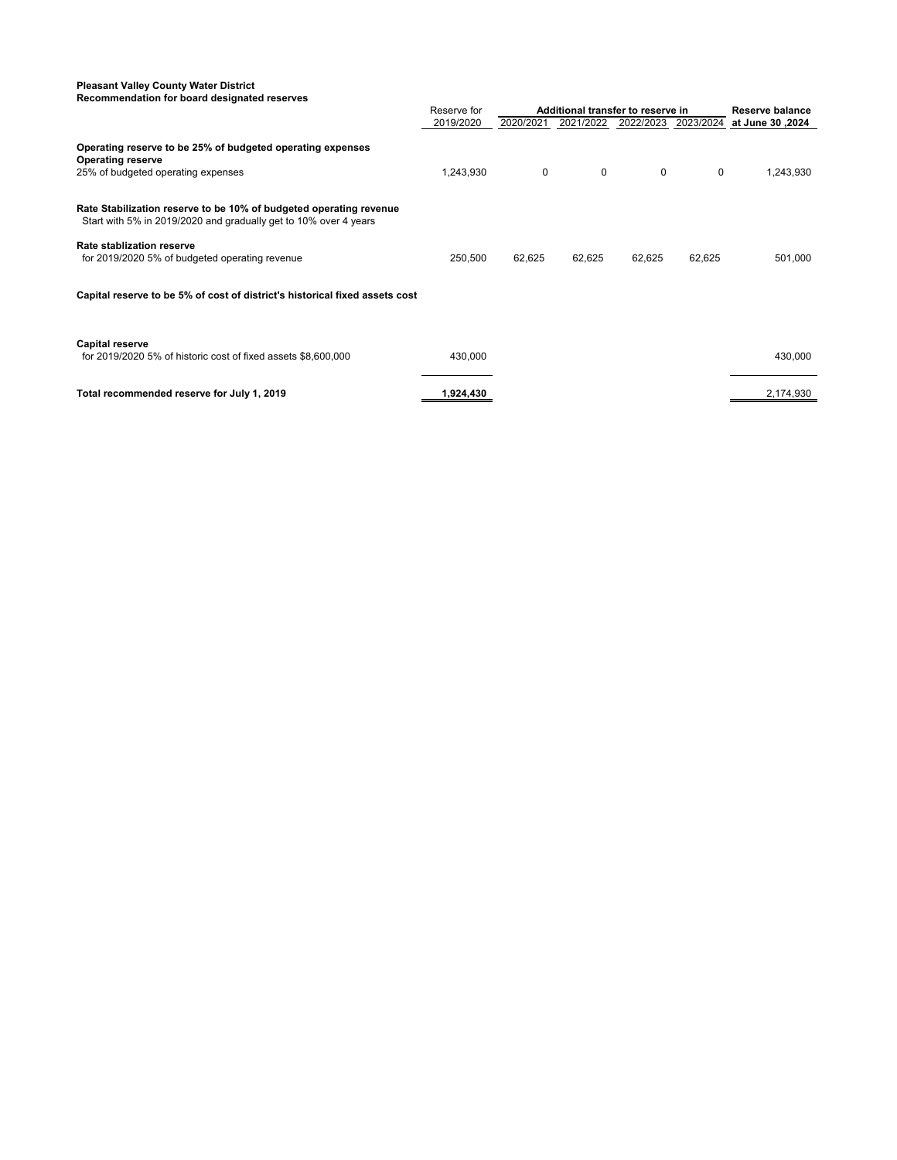| Recommendation for board designated reserves                                                                                           |             |           |                                   |           |           |                  |
|----------------------------------------------------------------------------------------------------------------------------------------|-------------|-----------|-----------------------------------|-----------|-----------|------------------|
|                                                                                                                                        | Reserve for |           | Additional transfer to reserve in |           |           | Reserve balance  |
|                                                                                                                                        | 2019/2020   | 2020/2021 | 2021/2022                         | 2022/2023 | 2023/2024 | at June 30, 2024 |
|                                                                                                                                        |             |           |                                   |           |           |                  |
| Operating reserve to be 25% of budgeted operating expenses<br><b>Operating reserve</b>                                                 |             |           |                                   |           |           |                  |
| 25% of budgeted operating expenses                                                                                                     | 1,243,930   | 0         | 0                                 | 0         | $\Omega$  | 1,243,930        |
| Rate Stabilization reserve to be 10% of budgeted operating revenue<br>Start with 5% in 2019/2020 and gradually get to 10% over 4 years |             |           |                                   |           |           |                  |
| Rate stablization reserve                                                                                                              |             |           |                                   |           |           |                  |
| for 2019/2020 5% of budgeted operating revenue                                                                                         | 250,500     | 62,625    | 62,625                            | 62,625    | 62,625    | 501,000          |
| Capital reserve to be 5% of cost of district's historical fixed assets cost                                                            |             |           |                                   |           |           |                  |
| <b>Capital reserve</b><br>for 2019/2020 5% of historic cost of fixed assets \$8,600,000                                                | 430,000     |           |                                   |           |           | 430,000          |
| Total recommended reserve for July 1, 2019                                                                                             | 1,924,430   |           |                                   |           |           | 2,174,930        |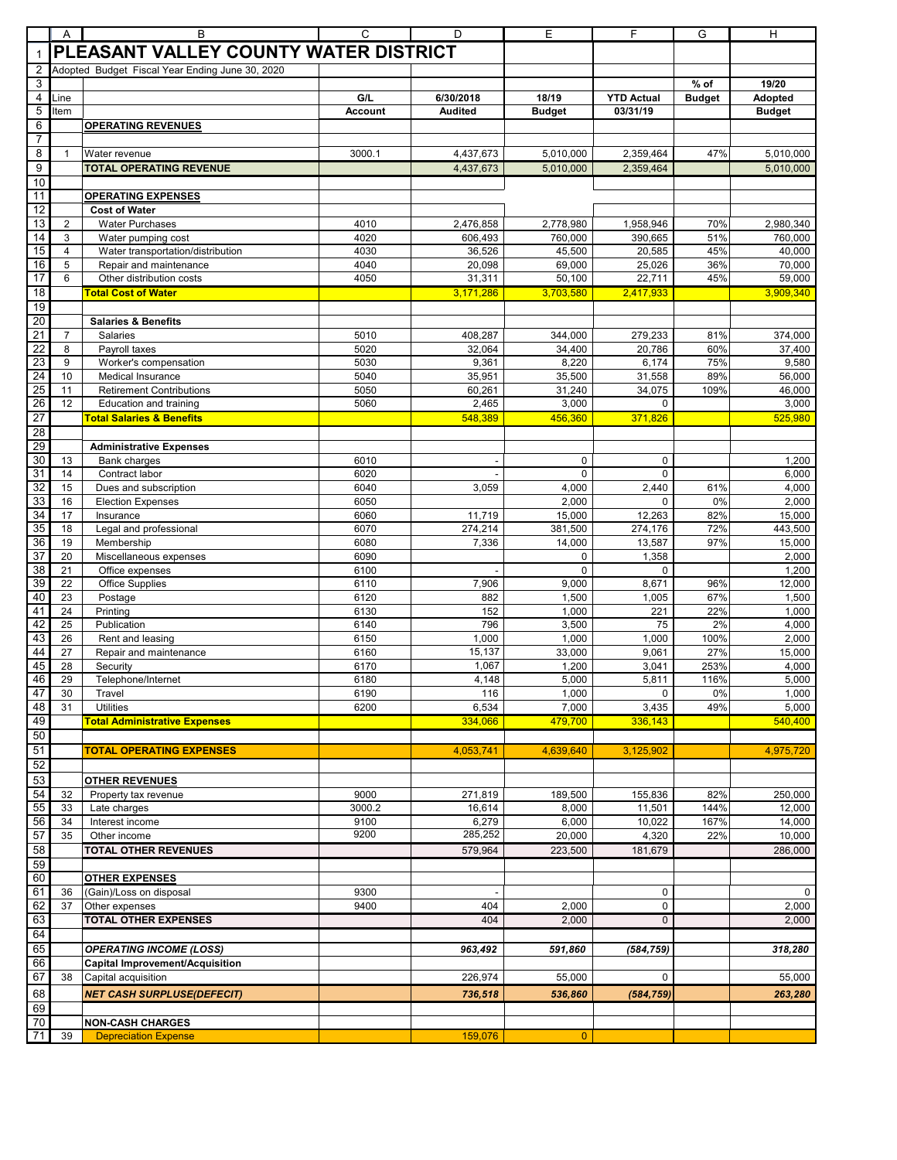|                       | Α              | В                                                        | С              | D                        | Ε                | F                 | G             | н                |
|-----------------------|----------------|----------------------------------------------------------|----------------|--------------------------|------------------|-------------------|---------------|------------------|
| $\mathbf{1}$          |                | PLEASANT VALLEY COUNTY WATER DISTRICT                    |                |                          |                  |                   |               |                  |
| $\overline{2}$        |                | Adopted Budget Fiscal Year Ending June 30, 2020          |                |                          |                  |                   |               |                  |
| 3                     |                |                                                          |                |                          |                  |                   | $%$ of        | 19/20            |
| 4                     | Line           |                                                          | G/L            | 6/30/2018                | 18/19            | <b>YTD Actual</b> | <b>Budget</b> | Adopted          |
| 5                     | Item           |                                                          | <b>Account</b> | <b>Audited</b>           | <b>Budget</b>    | 03/31/19          |               | Budget           |
| 6                     |                | <b>OPERATING REVENUES</b>                                |                |                          |                  |                   |               |                  |
| $\overline{7}$        |                |                                                          |                |                          |                  |                   |               |                  |
| 8                     | 1              | Water revenue                                            | 3000.1         | 4,437,673                | 5,010,000        | 2,359,464         | 47%           | 5,010,000        |
| 9                     |                | <b>TOTAL OPERATING REVENUE</b>                           |                | 4,437,673                | 5,010,000        | 2,359,464         |               | 5,010,000        |
| 10                    |                |                                                          |                |                          |                  |                   |               |                  |
| 11                    |                | <b>OPERATING EXPENSES</b>                                |                |                          |                  |                   |               |                  |
| $\overline{12}$       |                | <b>Cost of Water</b>                                     |                |                          |                  |                   |               |                  |
| 13                    | 2              | <b>Water Purchases</b>                                   | 4010           | 2,476,858                | 2,778,980        | 1,958,946         | 70%           | 2,980,340        |
| 14                    | 3              | Water pumping cost                                       | 4020           | 606.493                  | 760,000          | 390,665           | 51%           | 760.000          |
| 15                    | 4              | Water transportation/distribution                        | 4030           | 36,526                   | 45,500           | 20,585            | 45%           | 40,000           |
| 16<br>$\overline{17}$ | 5<br>6         | Repair and maintenance<br>Other distribution costs       | 4040<br>4050   | 20,098                   | 69,000           | 25,026            | 36%<br>45%    | 70,000<br>59,000 |
| 18                    |                | <b>Total Cost of Water</b>                               |                | 31,311                   | 50,100           | 22,711            |               |                  |
| 19                    |                |                                                          |                | 3,171,286                | 3,703,580        | 2,417,933         |               | 3,909,340        |
| $\overline{20}$       |                | <b>Salaries &amp; Benefits</b>                           |                |                          |                  |                   |               |                  |
| $\overline{21}$       | $\overline{7}$ | Salaries                                                 | 5010           | 408,287                  | 344,000          | 279,233           | 81%           | 374,000          |
| 22                    | 8              | Payroll taxes                                            | 5020           | 32,064                   | 34,400           | 20,786            | 60%           | 37,400           |
| 23                    | 9              | Worker's compensation                                    | 5030           | 9,361                    | 8,220            | 6,174             | 75%           | 9,580            |
| 24                    | 10             | <b>Medical Insurance</b>                                 | 5040           | 35,951                   | 35.500           | 31,558            | 89%           | 56,000           |
| 25                    | 11             | <b>Retirement Contributions</b>                          | 5050           | 60,261                   | 31.240           | 34.075            | 109%          | 46,000           |
| 26                    | 12             | Education and training                                   | 5060           | 2,465                    | 3,000            | $\mathbf 0$       |               | 3,000            |
| $\overline{27}$       |                | <b>Total Salaries &amp; Benefits</b>                     |                | 548,389                  | 456,360          | 371,826           |               | 525,980          |
| 28                    |                |                                                          |                |                          |                  |                   |               |                  |
| 29                    |                | <b>Administrative Expenses</b>                           |                |                          |                  |                   |               |                  |
| 30<br>31              | 13<br>14       | <b>Bank charges</b><br>Contract labor                    | 6010<br>6020   | $\overline{\phantom{a}}$ | 0<br>$\Omega$    | 0<br>$\mathbf 0$  |               | 1,200<br>6,000   |
| 32                    | 15             | Dues and subscription                                    | 6040           | 3,059                    | 4,000            | 2,440             | 61%           | 4,000            |
| 33                    | 16             | <b>Election Expenses</b>                                 | 6050           |                          | 2,000            | $\mathbf 0$       | 0%            | 2,000            |
| 34                    | 17             | Insurance                                                | 6060           | 11,719                   | 15,000           | 12,263            | 82%           | 15,000           |
| 35                    | 18             | Legal and professional                                   | 6070           | 274,214                  | 381,500          | 274,176           | 72%           | 443,500          |
| 36                    | 19             | Membership                                               | 6080           | 7,336                    | 14,000           | 13,587            | 97%           | 15,000           |
| $\overline{37}$       | 20             | Miscellaneous expenses                                   | 6090           |                          | 0                | 1,358             |               | 2,000            |
| $\overline{38}$       | 21             | Office expenses                                          | 6100           |                          | $\Omega$         | $\Omega$          |               | 1,200            |
| 39<br>40              | 22<br>23       | <b>Office Supplies</b><br>Postage                        | 6110<br>6120   | 7,906<br>882             | 9,000<br>1,500   | 8,671<br>1,005    | 96%<br>67%    | 12,000<br>1,500  |
| 41                    | 24             | Printina                                                 | 6130           | 152                      | 1,000            | 221               | 22%           | 1,000            |
| 42                    | 25             | Publication                                              | 6140           | 796                      | 3,500            | 75                | 2%            | 4,000            |
| 43                    | 26             | Rent and leasing                                         | 6150           | 1,000                    | 1,000            | 1,000             | 100%          | 2,000            |
| 44                    | 27             | Repair and maintenance                                   | 6160           | 15,137                   | 33,000           | 9,061             | 27%           | 15,000           |
| 45                    | 28             | Security                                                 | 6170           | 1,067                    | 1,200            | 3,041             | 253%          | 4,000            |
| 46                    | 29             | Telephone/Internet                                       | 6180           | 4,148                    | 5,000            | 5,811             | 116%          | 5,000            |
| 47<br>48              | 30             | Travel                                                   | 6190           | 116                      | 1,000            | 0                 | 0%            | 1,000            |
| 49                    | 31             | <b>Utilities</b><br><b>Total Administrative Expenses</b> | 6200           | 6,534<br>334.066         | 7,000<br>479,700 | 3,435<br>336,143  | 49%           | 5,000<br>540,400 |
| 50                    |                |                                                          |                |                          |                  |                   |               |                  |
| 51                    |                | <b>TOTAL OPERATING EXPENSES</b>                          |                | 4,053,741                | 4,639,640        | 3,125,902         |               | 4,975,720        |
| 52                    |                |                                                          |                |                          |                  |                   |               |                  |
| 53                    |                | <b>OTHER REVENUES</b>                                    |                |                          |                  |                   |               |                  |
| 54                    | 32             | Property tax revenue                                     | 9000           | 271,819                  | 189,500          | 155,836           | 82%           | 250,000          |
| 55                    | 33             | Late charges                                             | 3000.2         | 16,614                   | 8,000            | 11,501            | 144%          | 12,000           |
| 56                    | 34             | Interest income                                          | 9100           | 6,279                    | 6,000            | 10,022            | 167%          | 14,000           |
| 57                    | 35             | Other income                                             | 9200           | 285,252                  | 20,000           | 4,320             | 22%           | 10,000           |
| 58                    |                | TOTAL OTHER REVENUES                                     |                | 579,964                  | 223,500          | 181,679           |               | 286,000          |
| 59                    |                |                                                          |                |                          |                  |                   |               |                  |
| 60<br>61              |                | <b>OTHER EXPENSES</b>                                    |                |                          |                  |                   |               |                  |
| 62                    | 36<br>37       | (Gain)/Loss on disposal<br>Other expenses                | 9300<br>9400   | 404                      | 2,000            | 0<br>0            |               | 0<br>2,000       |
| 63                    |                | <b>TOTAL OTHER EXPENSES</b>                              |                | 404                      | 2,000            | $\mathbf 0$       |               | 2,000            |
| 64                    |                |                                                          |                |                          |                  |                   |               |                  |
| 65                    |                | <b>OPERATING INCOME (LOSS)</b>                           |                | 963,492                  | 591,860          | (584, 759)        |               | 318,280          |
| 66                    |                | <b>Capital Improvement/Acquisition</b>                   |                |                          |                  |                   |               |                  |
| 67                    | 38             | Capital acquisition                                      |                | 226,974                  | 55,000           | 0                 |               | 55,000           |
| 68                    |                | <b>NET CASH SURPLUSE(DEFECIT)</b>                        |                | 736,518                  | 536,860          | (584, 759)        |               | 263,280          |
| 69                    |                |                                                          |                |                          |                  |                   |               |                  |
| 70                    |                | <b>NON-CASH CHARGES</b>                                  |                |                          |                  |                   |               |                  |
| $\overline{71}$       | 39             | <b>Depreciation Expense</b>                              |                | 159,076                  | $\overline{0}$   |                   |               |                  |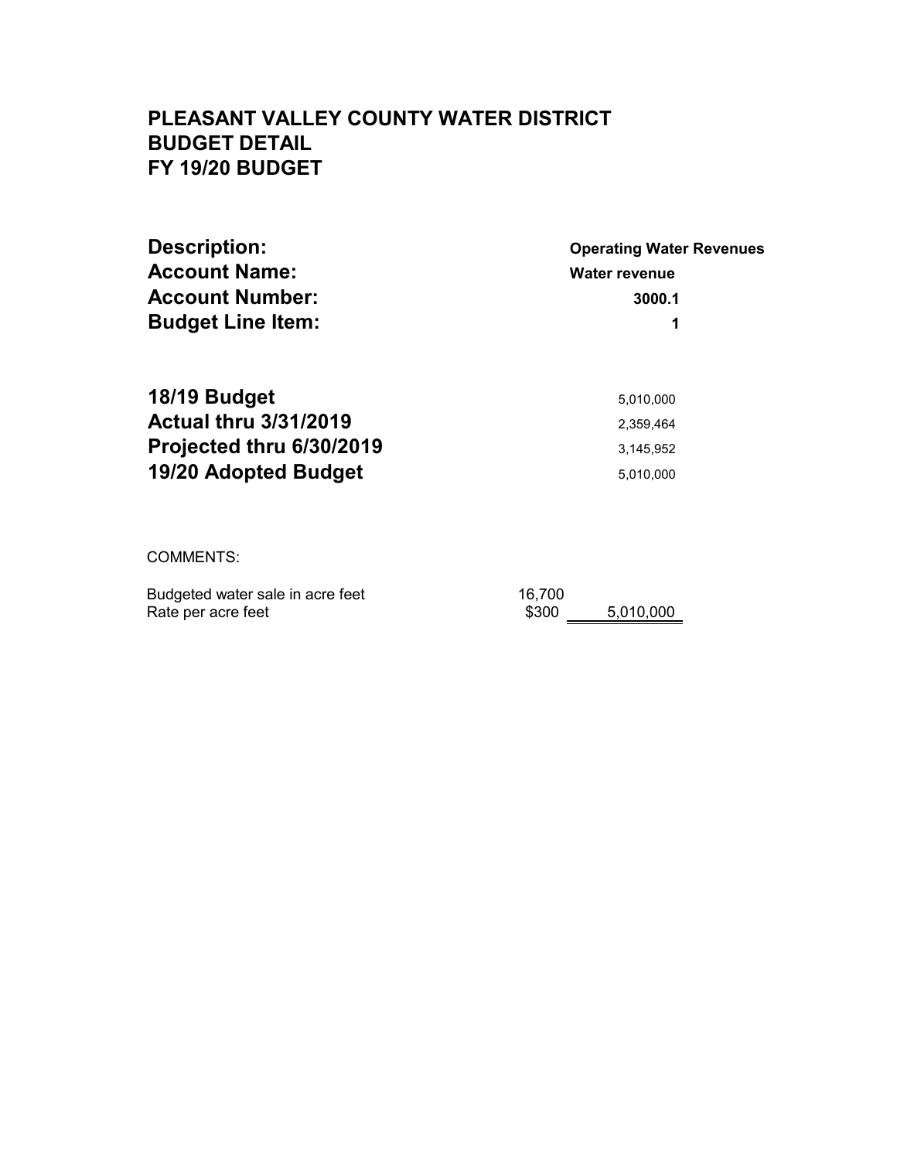| <b>Description:</b>          | <b>Operating Water Revenues</b> |  |  |
|------------------------------|---------------------------------|--|--|
| <b>Account Name:</b>         | <b>Water revenue</b>            |  |  |
| <b>Account Number:</b>       | 3000.1                          |  |  |
| <b>Budget Line Item:</b>     | 1                               |  |  |
| 18/19 Budget                 | 5,010,000                       |  |  |
| <b>Actual thru 3/31/2019</b> | 2,359,464                       |  |  |
| Projected thru 6/30/2019     | 3.145.952                       |  |  |
| <b>19/20 Adopted Budget</b>  | 5,010,000                       |  |  |
|                              |                                 |  |  |

COMMENTS:

| Budgeted water sale in acre feet | 16.700 |           |
|----------------------------------|--------|-----------|
| Rate per acre feet               | \$300  | 5,010,000 |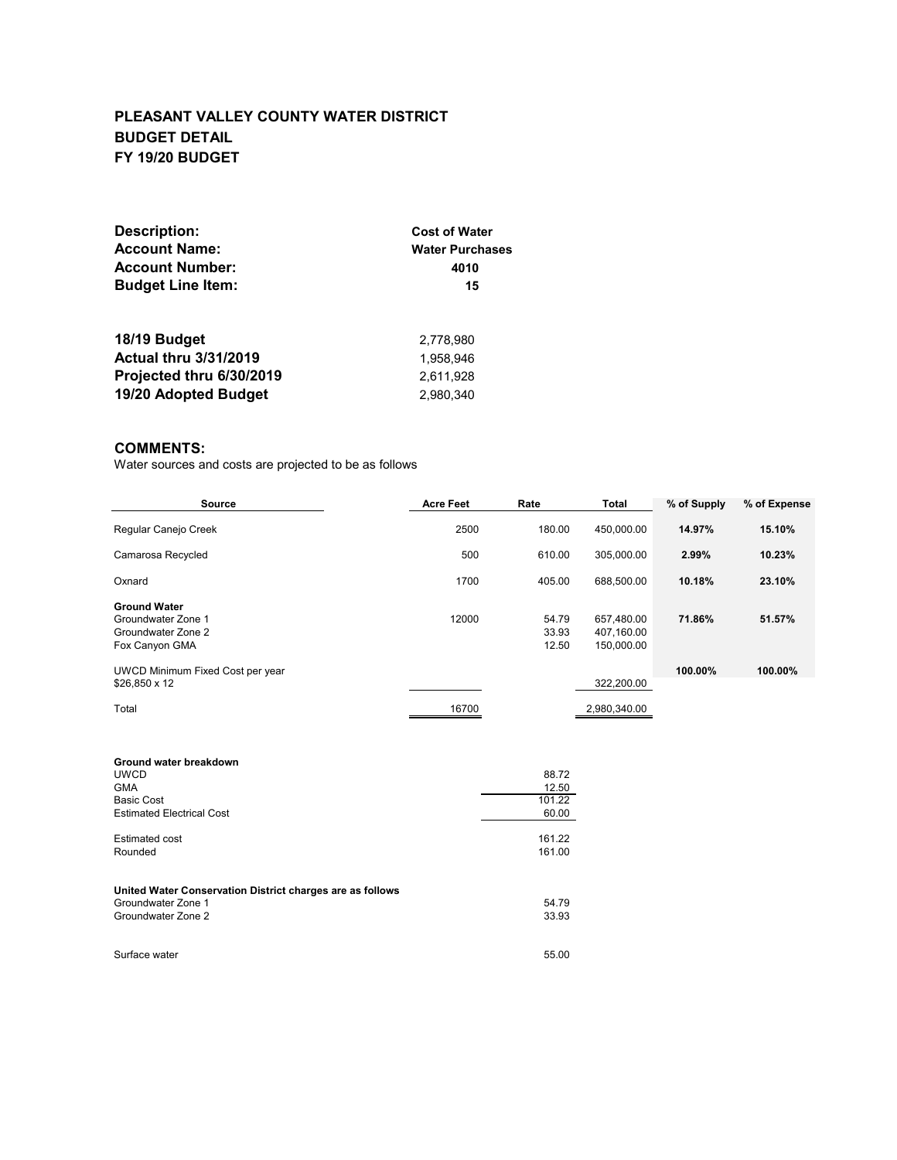| <b>Description:</b><br><b>Account Name:</b><br><b>Account Number:</b><br><b>Budget Line Item:</b> | <b>Cost of Water</b><br><b>Water Purchases</b><br>4010<br>15 |
|---------------------------------------------------------------------------------------------------|--------------------------------------------------------------|
| 18/19 Budget                                                                                      | 2,778,980                                                    |
| <b>Actual thru 3/31/2019</b>                                                                      | 1.958.946                                                    |
| Projected thru 6/30/2019                                                                          | 2.611.928                                                    |
| 19/20 Adopted Budget                                                                              | 2.980.340                                                    |

#### **COMMENTS:**

Water sources and costs are projected to be as follows

| <b>Source</b>                                                                     | <b>Acre Feet</b> | Rate                    | Total                                  | % of Supply | % of Expense |
|-----------------------------------------------------------------------------------|------------------|-------------------------|----------------------------------------|-------------|--------------|
| Regular Canejo Creek                                                              | 2500             | 180.00                  | 450.000.00                             | 14.97%      | 15.10%       |
| Camarosa Recycled                                                                 | 500              | 610.00                  | 305,000.00                             | 2.99%       | 10.23%       |
| Oxnard                                                                            | 1700             | 405.00                  | 688.500.00                             | 10.18%      | 23.10%       |
| <b>Ground Water</b><br>Groundwater Zone 1<br>Groundwater Zone 2<br>Fox Canyon GMA | 12000            | 54.79<br>33.93<br>12.50 | 657,480.00<br>407,160.00<br>150,000.00 | 71.86%      | 51.57%       |
| UWCD Minimum Fixed Cost per year<br>$$26,850 \times 12$                           |                  |                         | 322,200.00                             | 100.00%     | 100.00%      |
|                                                                                   |                  |                         |                                        |             |              |
| Total                                                                             | 16700            |                         | 2,980,340.00                           |             |              |

#### **Ground water breakdown**

| <b>UWCD</b>                                               | 88.72  |
|-----------------------------------------------------------|--------|
| <b>GMA</b>                                                | 12.50  |
| <b>Basic Cost</b>                                         | 101.22 |
| <b>Estimated Electrical Cost</b>                          | 60.00  |
|                                                           |        |
| Estimated cost                                            | 161.22 |
| Rounded                                                   | 161.00 |
|                                                           |        |
| United Water Conservation District charges are as follows |        |
| Groundwater Zone 1                                        | 54.79  |
| Groundwater Zone 2                                        | 33.93  |
|                                                           |        |
| Surface water                                             | 55.00  |
|                                                           |        |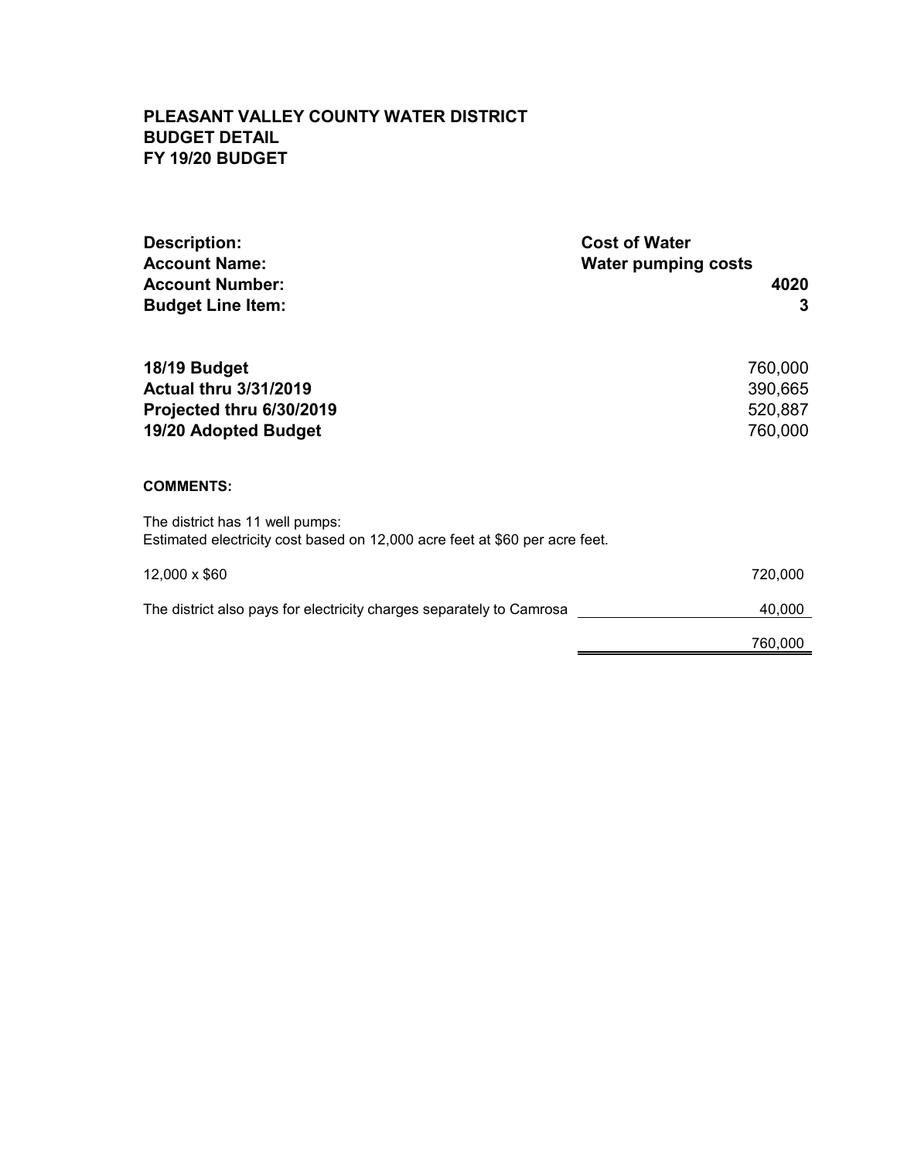| <b>Description:</b><br><b>Account Name:</b>                                                                    | <b>Cost of Water</b><br><b>Water pumping costs</b> |
|----------------------------------------------------------------------------------------------------------------|----------------------------------------------------|
| <b>Account Number:</b><br><b>Budget Line Item:</b>                                                             | 4020<br>3                                          |
| 18/19 Budget<br><b>Actual thru 3/31/2019</b><br>Projected thru 6/30/2019<br>19/20 Adopted Budget               | 760,000<br>390,665<br>520,887<br>760,000           |
| <b>COMMENTS:</b>                                                                                               |                                                    |
| The district has 11 well pumps:<br>Estimated electricity cost based on 12,000 acre feet at \$60 per acre feet. |                                                    |
| 12,000 x \$60                                                                                                  | 720,000                                            |
| The district also pays for electricity charges separately to Camrosa                                           | 40,000                                             |
|                                                                                                                | 760,000                                            |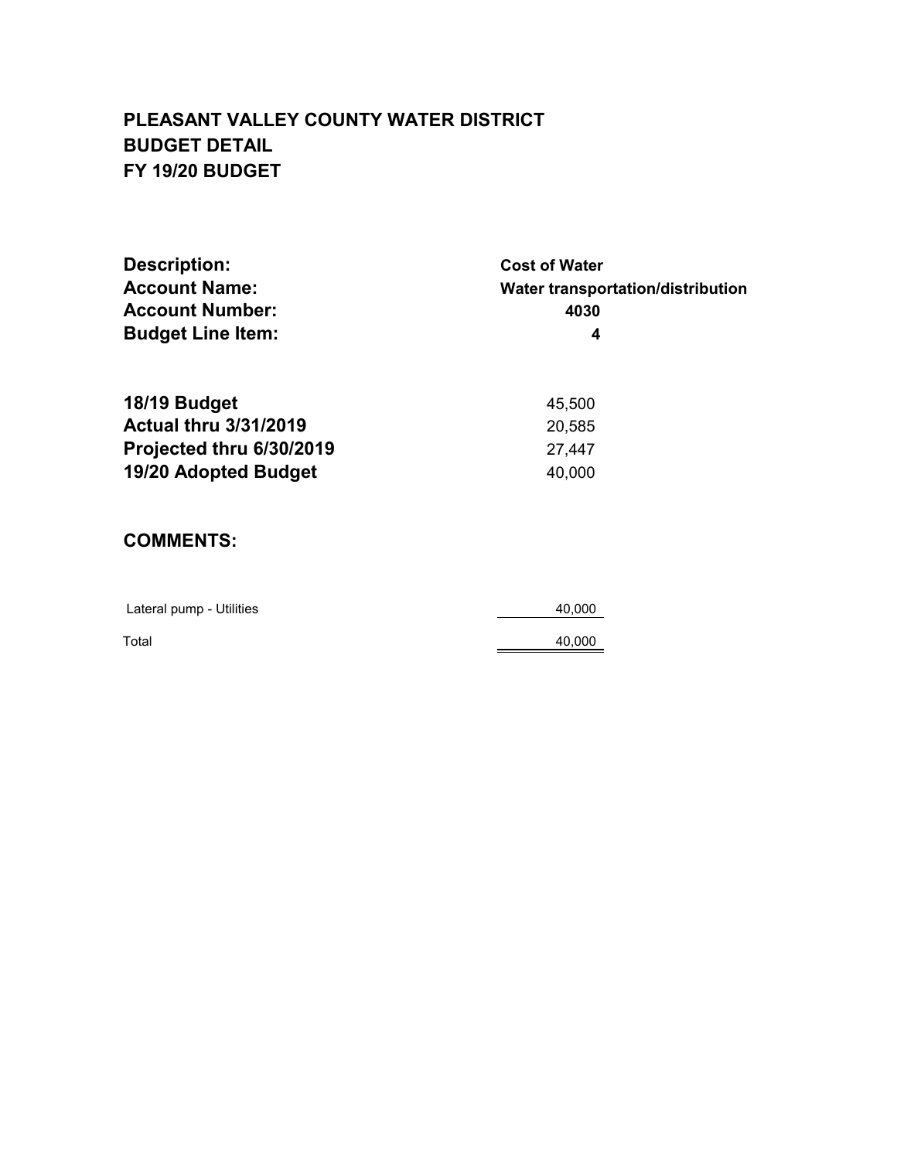| <b>Cost of Water</b><br><b>Water transportation/distribution</b><br>4030<br>4 |  |  |
|-------------------------------------------------------------------------------|--|--|
| 45,500<br>20,585<br>27,447<br>40,000                                          |  |  |
|                                                                               |  |  |

## **COMMENTS:**

| Lateral pump - Utilities | 40,000 |
|--------------------------|--------|
| Total                    | 40,000 |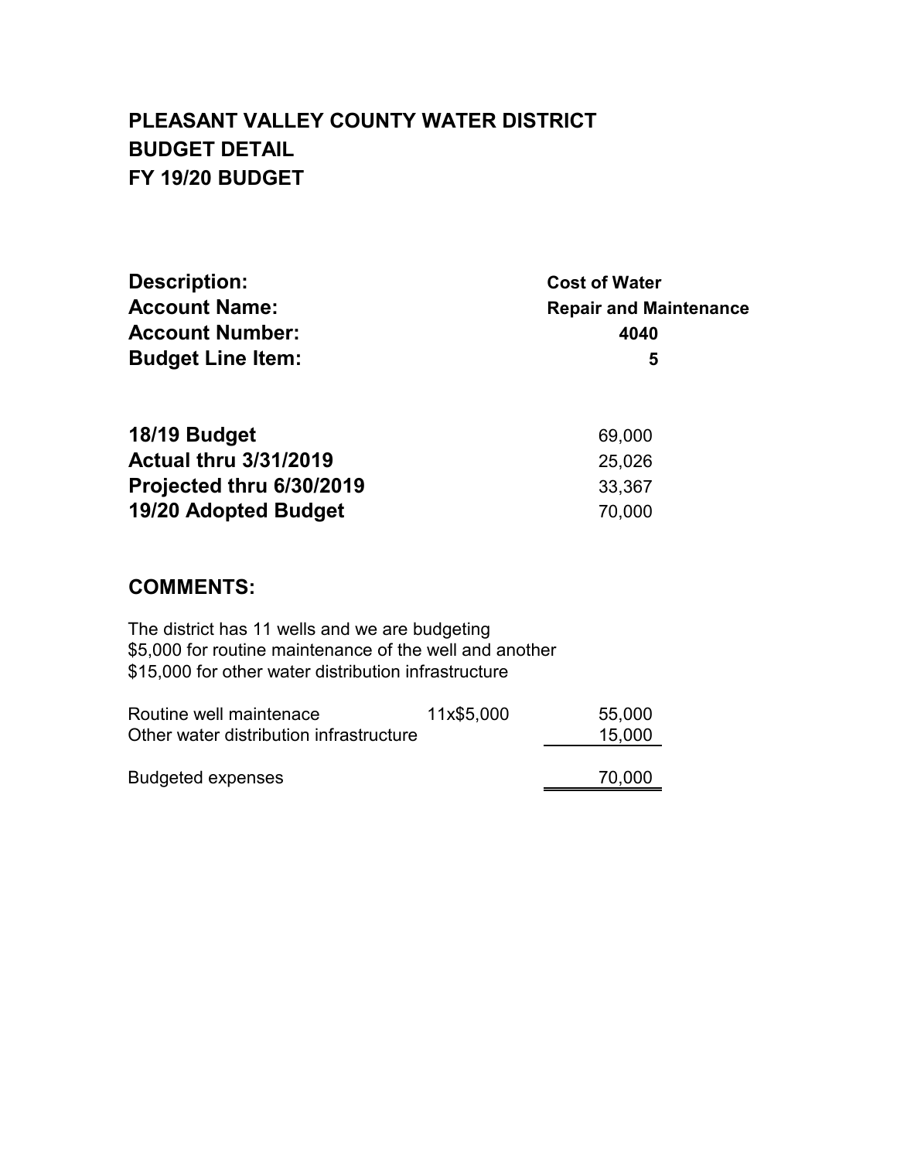| <b>Description:</b>      | <b>Cost of Water</b>          |
|--------------------------|-------------------------------|
| <b>Account Name:</b>     | <b>Repair and Maintenance</b> |
| <b>Account Number:</b>   | 4040                          |
| <b>Budget Line Item:</b> | 5                             |
|                          |                               |

| 18/19 Budget                 | 69,000 |
|------------------------------|--------|
| <b>Actual thru 3/31/2019</b> | 25,026 |
| Projected thru 6/30/2019     | 33.367 |
| 19/20 Adopted Budget         | 70.000 |

## **COMMENTS:**

The district has 11 wells and we are budgeting \$5,000 for routine maintenance of the well and another \$15,000 for other water distribution infrastructure

| Routine well maintenace                 | 11x\$5,000 | 55,000 |
|-----------------------------------------|------------|--------|
| Other water distribution infrastructure |            | 15,000 |
|                                         |            |        |
| <b>Budgeted expenses</b>                |            | 70,000 |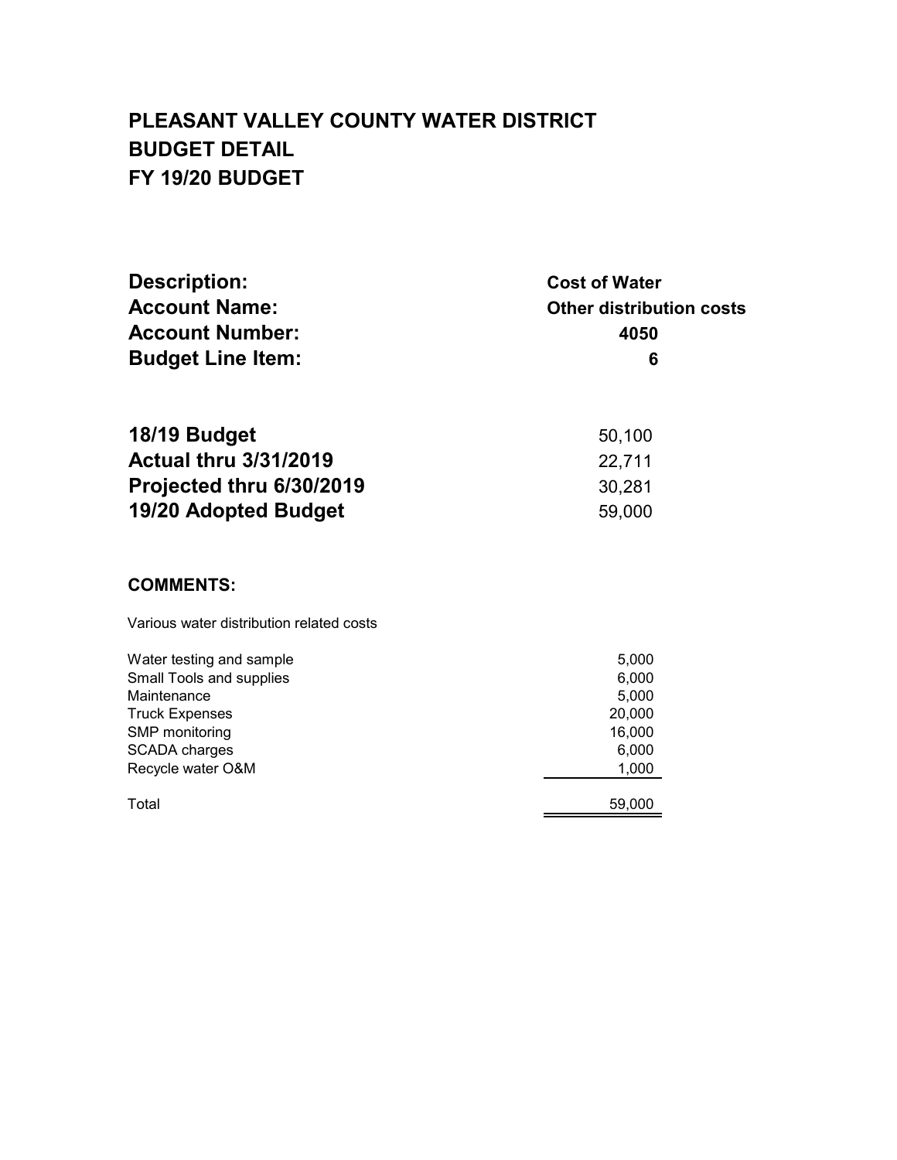| <b>Description:</b>                      | <b>Cost of Water</b>     |
|------------------------------------------|--------------------------|
| <b>Account Name:</b>                     | Other distribution costs |
| <b>Account Number:</b>                   | 4050                     |
| <b>Budget Line Item:</b>                 | 6                        |
| 18/19 Budget                             | 50,100                   |
| <b>Actual thru 3/31/2019</b>             | 22,711                   |
| Projected thru 6/30/2019                 | 30,281                   |
| 19/20 Adopted Budget                     | 59,000                   |
| <b>COMMENTS:</b>                         |                          |
| Various water distribution related costs |                          |
| Water testing and sample                 | 5,000                    |
| Small Tools and supplies                 | 6,000                    |
| Maintenance                              | 5,000                    |
| <b>Truck Expenses</b>                    | 20,000                   |
| SMP monitoring                           | 16,000                   |
| <b>SCADA</b> charges                     | 6,000                    |
| Recycle water O&M                        | 1,000                    |
| Total                                    | 59,000                   |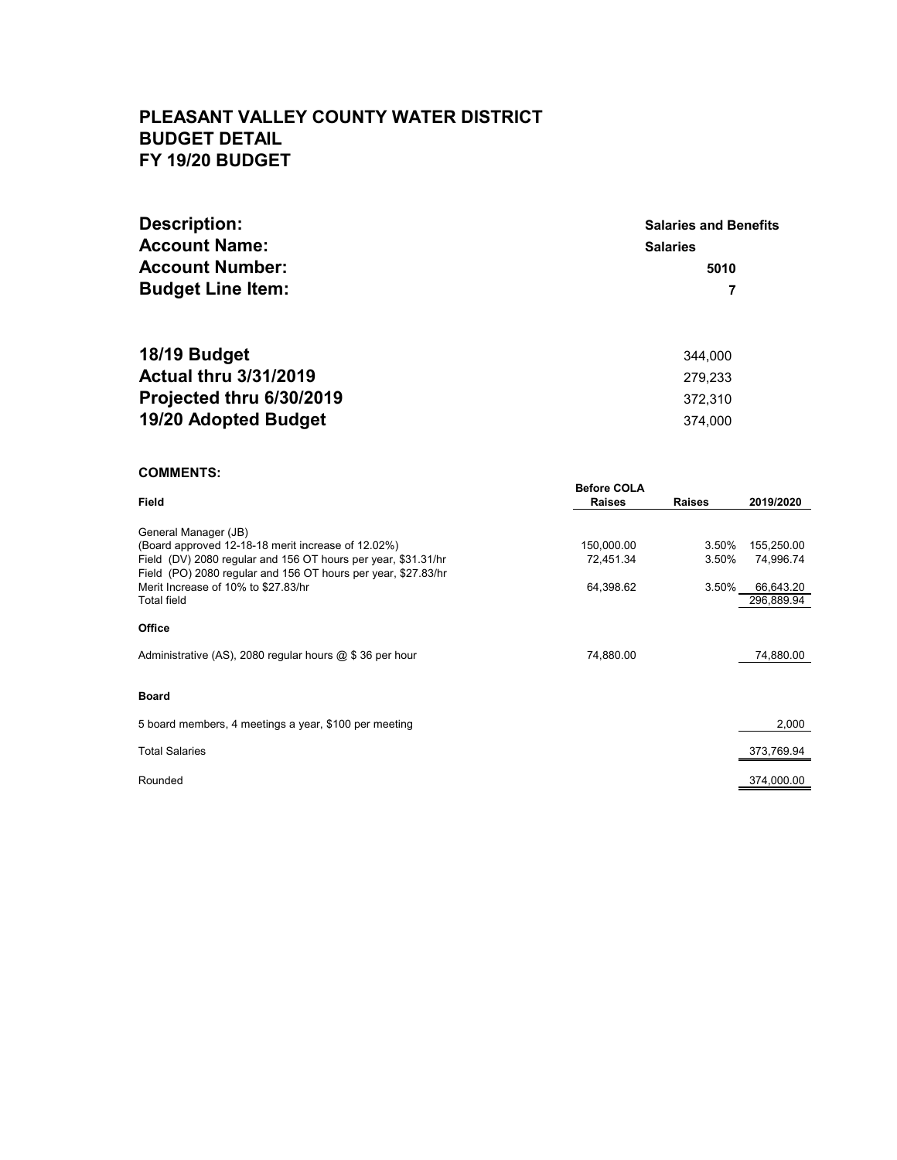| <b>Description:</b>      | <b>Salaries and Benefits</b> |
|--------------------------|------------------------------|
| <b>Account Name:</b>     | <b>Salaries</b>              |
| <b>Account Number:</b>   | 5010                         |
| <b>Budget Line Item:</b> |                              |
|                          |                              |
|                          |                              |

| 18/19 Budget                 | 344.000 |
|------------------------------|---------|
| <b>Actual thru 3/31/2019</b> | 279.233 |
| Projected thru 6/30/2019     | 372.310 |
| 19/20 Adopted Budget         | 374.000 |

#### **COMMENTS:**

| ------------                                                                                                                   |                                     |               |            |
|--------------------------------------------------------------------------------------------------------------------------------|-------------------------------------|---------------|------------|
| Field                                                                                                                          | <b>Before COLA</b><br><b>Raises</b> | <b>Raises</b> | 2019/2020  |
|                                                                                                                                |                                     |               |            |
| General Manager (JB)                                                                                                           |                                     |               |            |
| (Board approved 12-18-18 merit increase of 12.02%)                                                                             | 150,000.00                          | 3.50%         | 155,250.00 |
| Field (DV) 2080 regular and 156 OT hours per year, \$31.31/hr<br>Field (PO) 2080 regular and 156 OT hours per year, \$27.83/hr | 72,451.34                           | 3.50%         | 74,996.74  |
| Merit Increase of 10% to \$27.83/hr                                                                                            | 64,398.62                           | 3.50%         | 66,643.20  |
| <b>Total field</b>                                                                                                             |                                     |               | 296,889.94 |
| <b>Office</b>                                                                                                                  |                                     |               |            |
| Administrative (AS), 2080 regular hours $@$ \$ 36 per hour                                                                     | 74,880.00                           |               | 74,880.00  |
|                                                                                                                                |                                     |               |            |
| <b>Board</b>                                                                                                                   |                                     |               |            |
| 5 board members, 4 meetings a year, \$100 per meeting                                                                          |                                     |               | 2,000      |
| <b>Total Salaries</b>                                                                                                          |                                     |               | 373,769.94 |
| Rounded                                                                                                                        |                                     |               | 374,000.00 |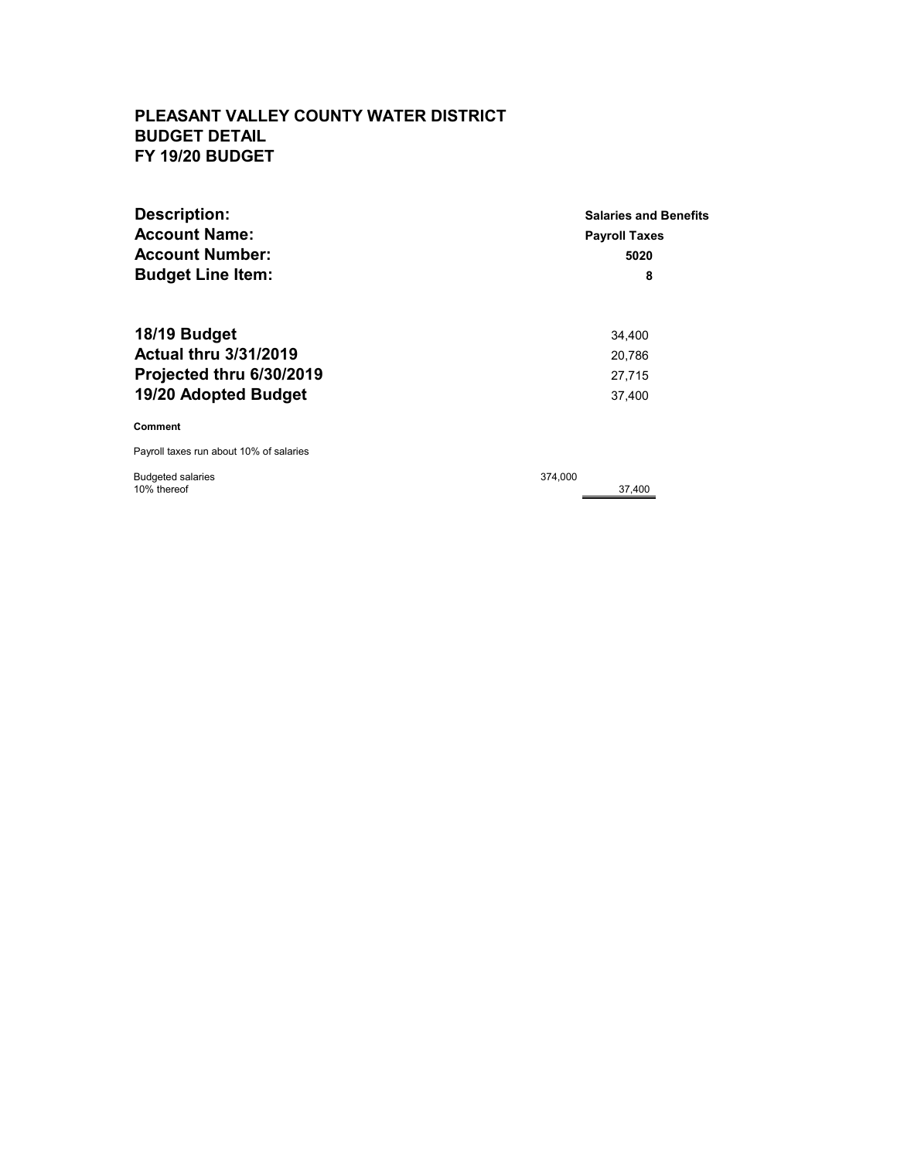| <b>Description:</b>                     | <b>Salaries and Benefits</b> |
|-----------------------------------------|------------------------------|
| <b>Account Name:</b>                    | <b>Payroll Taxes</b>         |
| <b>Account Number:</b>                  | 5020                         |
| <b>Budget Line Item:</b>                | 8                            |
| 18/19 Budget                            | 34,400                       |
| <b>Actual thru 3/31/2019</b>            | 20.786                       |
| Projected thru 6/30/2019                | 27,715                       |
| 19/20 Adopted Budget                    | 37.400                       |
| <b>Comment</b>                          |                              |
| Payroll taxes run about 10% of salaries |                              |

Budgeted salaries 374,000 10% thereof 37,400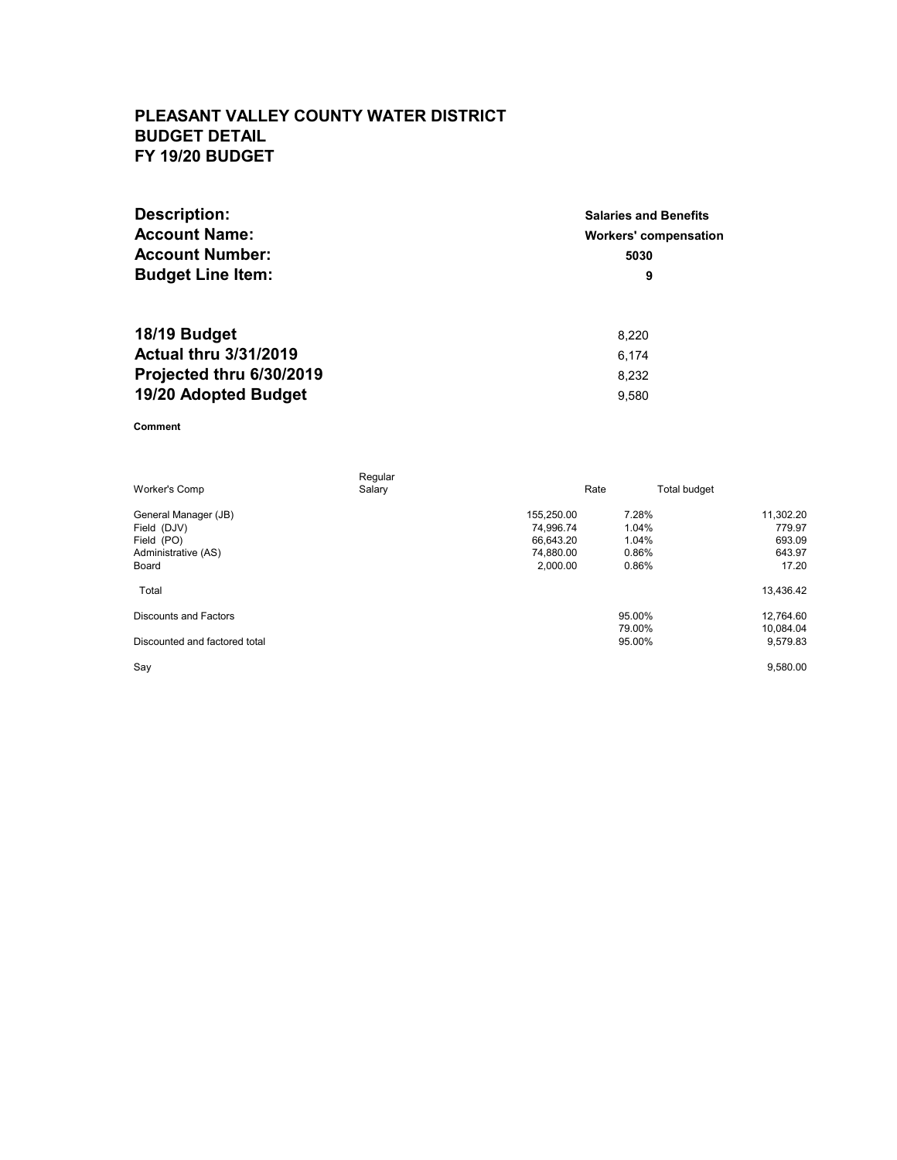| <b>Description:</b>          | <b>Salaries and Benefits</b> |  |  |
|------------------------------|------------------------------|--|--|
| <b>Account Name:</b>         | <b>Workers' compensation</b> |  |  |
| <b>Account Number:</b>       | 5030                         |  |  |
| <b>Budget Line Item:</b>     | 9                            |  |  |
|                              |                              |  |  |
| 18/19 Budget                 | 8,220                        |  |  |
| <b>Actual thru 3/31/2019</b> | 6.174                        |  |  |
| Projected thru 6/30/2019     | 8,232                        |  |  |
| 19/20 Adopted Budget         | 9.580                        |  |  |

#### **Comment**

| <b>Worker's Comp</b>          | Regular<br>Salary |            | Rate   | Total budget |           |
|-------------------------------|-------------------|------------|--------|--------------|-----------|
| General Manager (JB)          |                   | 155,250.00 | 7.28%  |              | 11,302.20 |
| Field (DJV)                   |                   | 74.996.74  | 1.04%  |              | 779.97    |
| Field (PO)                    |                   | 66,643.20  | 1.04%  |              | 693.09    |
| Administrative (AS)           |                   | 74,880.00  | 0.86%  |              | 643.97    |
| Board                         |                   | 2.000.00   | 0.86%  |              | 17.20     |
| Total                         |                   |            |        |              | 13,436.42 |
| <b>Discounts and Factors</b>  |                   |            | 95.00% |              | 12,764.60 |
|                               |                   |            | 79.00% |              | 10,084.04 |
| Discounted and factored total |                   |            | 95.00% |              | 9,579.83  |
| Say                           |                   |            |        |              | 9,580.00  |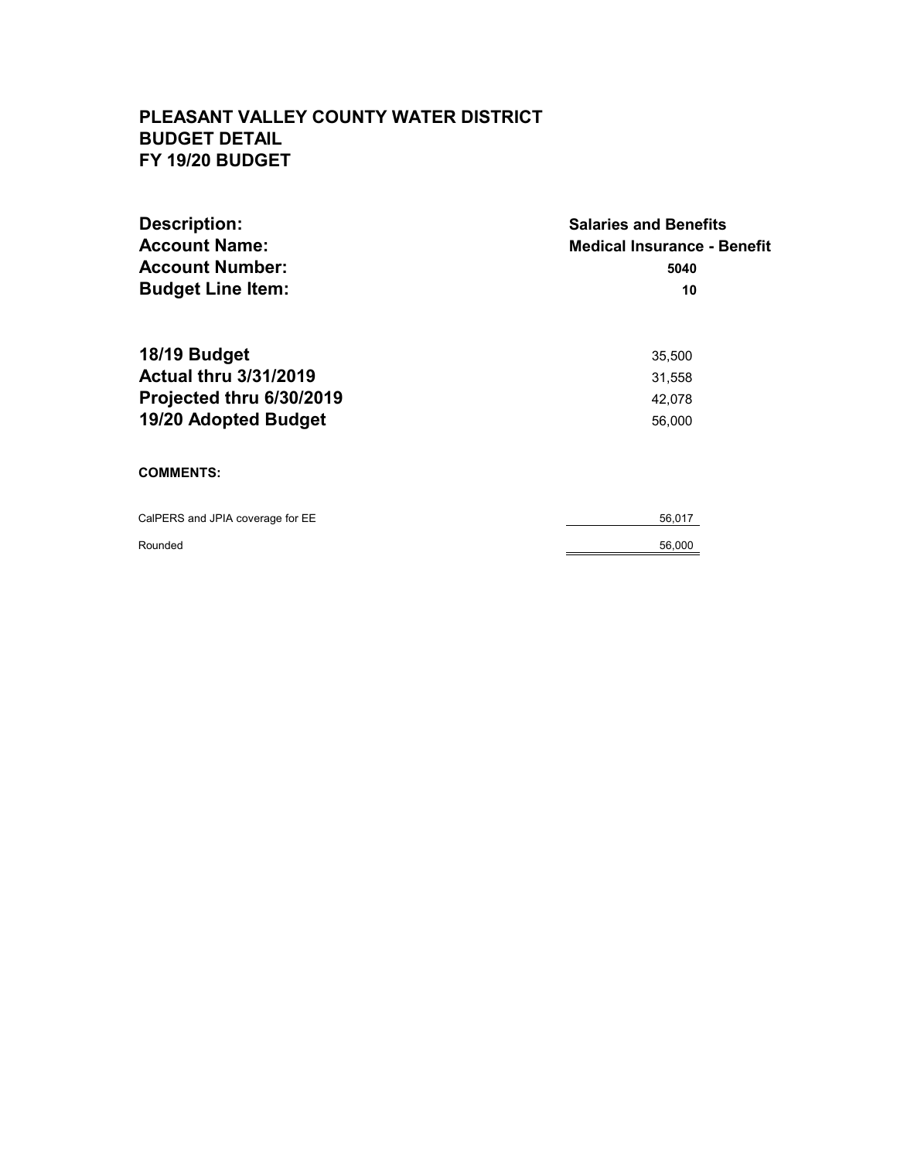| <b>Description:</b><br><b>Account Name:</b><br><b>Account Number:</b><br><b>Budget Line Item:</b> | <b>Salaries and Benefits</b><br><b>Medical Insurance - Benefit</b><br>5040<br>10 |
|---------------------------------------------------------------------------------------------------|----------------------------------------------------------------------------------|
| 18/19 Budget<br><b>Actual thru 3/31/2019</b><br>Projected thru 6/30/2019<br>19/20 Adopted Budget  | 35,500<br>31,558<br>42,078<br>56,000                                             |
| <b>COMMENTS:</b>                                                                                  |                                                                                  |
| CalPERS and JPIA coverage for EE                                                                  | 56,017                                                                           |
| Rounded                                                                                           | 56,000                                                                           |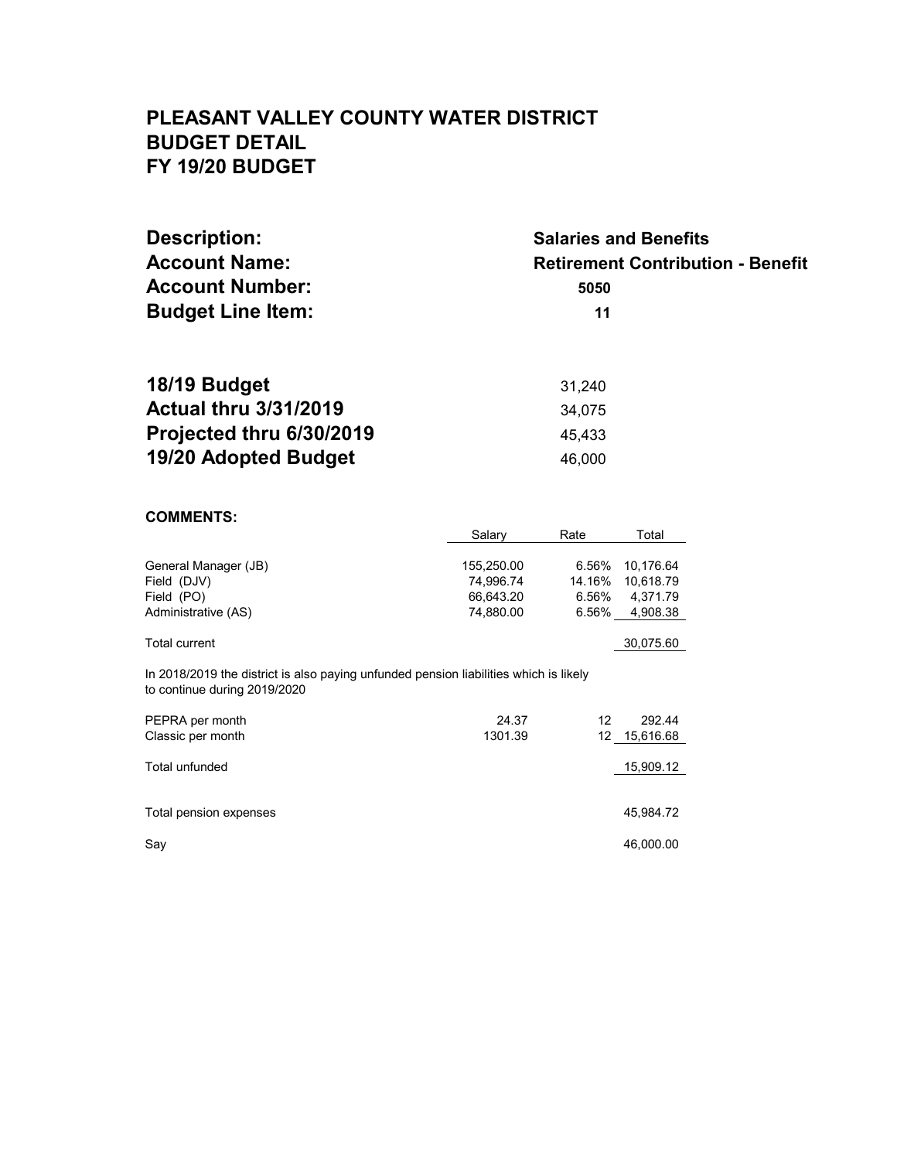| <b>Description:</b>      | <b>Salaries and Benefits</b>             |
|--------------------------|------------------------------------------|
| <b>Account Name:</b>     | <b>Retirement Contribution - Benefit</b> |
| <b>Account Number:</b>   | 5050                                     |
| <b>Budget Line Item:</b> | 11                                       |
|                          |                                          |

| 18/19 Budget                 | 31.240 |
|------------------------------|--------|
| <b>Actual thru 3/31/2019</b> | 34.075 |
| Projected thru 6/30/2019     | 45.433 |
| 19/20 Adopted Budget         | 46.000 |

#### **COMMENTS:**

|                                                                                                                       | Salary                                            | Rate                              | Total                                          |
|-----------------------------------------------------------------------------------------------------------------------|---------------------------------------------------|-----------------------------------|------------------------------------------------|
| General Manager (JB)<br>Field (DJV)<br>Field (PO)<br>Administrative (AS)                                              | 155,250.00<br>74,996.74<br>66,643.20<br>74,880.00 | 6.56%<br>14.16%<br>6.56%<br>6.56% | 10,176.64<br>10,618.79<br>4,371.79<br>4,908.38 |
| <b>Total current</b>                                                                                                  |                                                   |                                   | 30,075.60                                      |
| In 2018/2019 the district is also paying unfunded pension liabilities which is likely<br>to continue during 2019/2020 |                                                   |                                   |                                                |
| PEPRA per month<br>Classic per month                                                                                  | 24.37<br>1301.39                                  | 12<br>12                          | 292.44<br>15,616.68                            |
| Total unfunded                                                                                                        |                                                   |                                   | 15,909.12                                      |
| Total pension expenses                                                                                                |                                                   |                                   | 45,984.72                                      |
| Say                                                                                                                   |                                                   |                                   | 46,000.00                                      |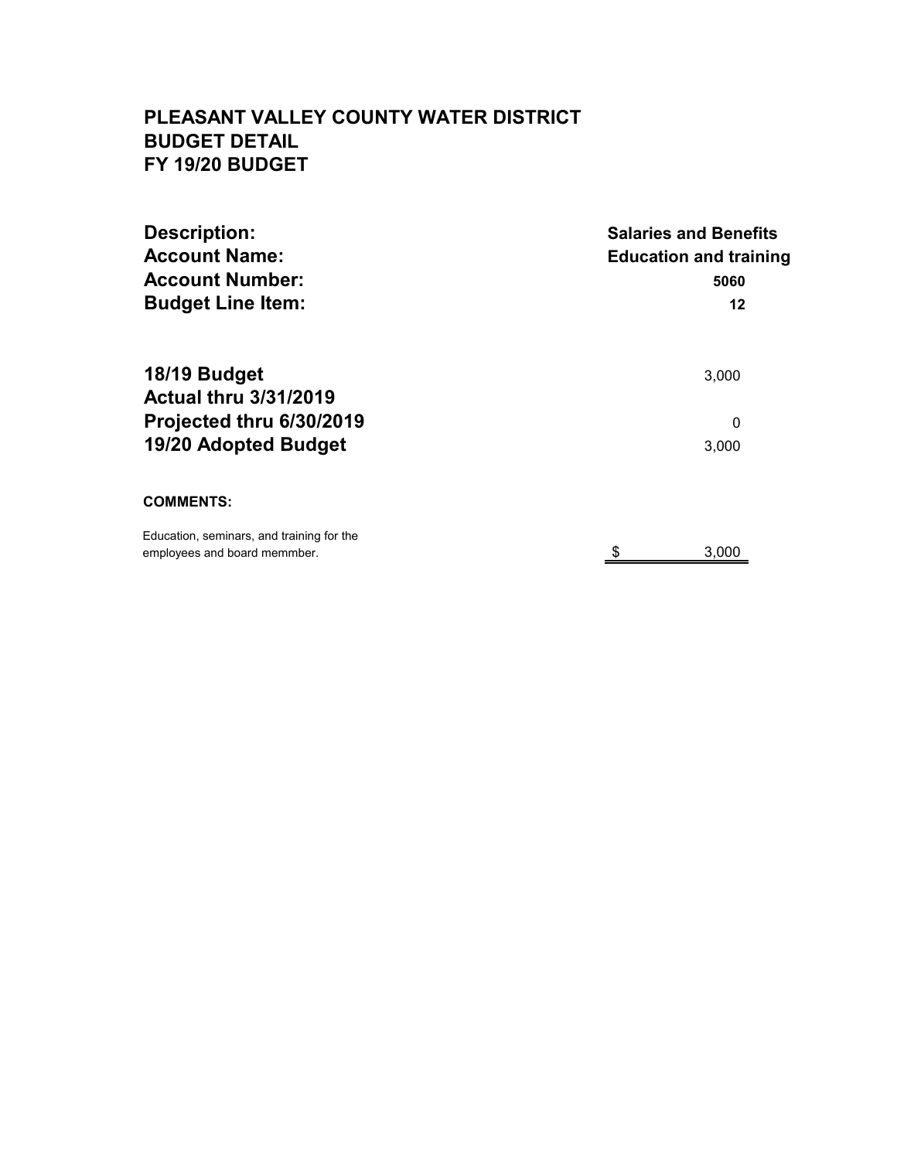| <b>Description:</b><br><b>Account Name:</b><br><b>Account Number:</b><br><b>Budget Line Item:</b> | <b>Salaries and Benefits</b><br><b>Education and training</b><br>5060<br>12 |
|---------------------------------------------------------------------------------------------------|-----------------------------------------------------------------------------|
| 18/19 Budget<br><b>Actual thru 3/31/2019</b>                                                      | 3,000                                                                       |
| Projected thru 6/30/2019                                                                          | 0                                                                           |
| <b>19/20 Adopted Budget</b>                                                                       | 3,000                                                                       |
| <b>COMMENTS:</b>                                                                                  |                                                                             |
| Education, seminars, and training for the<br>employees and board memmber.                         | 3,000                                                                       |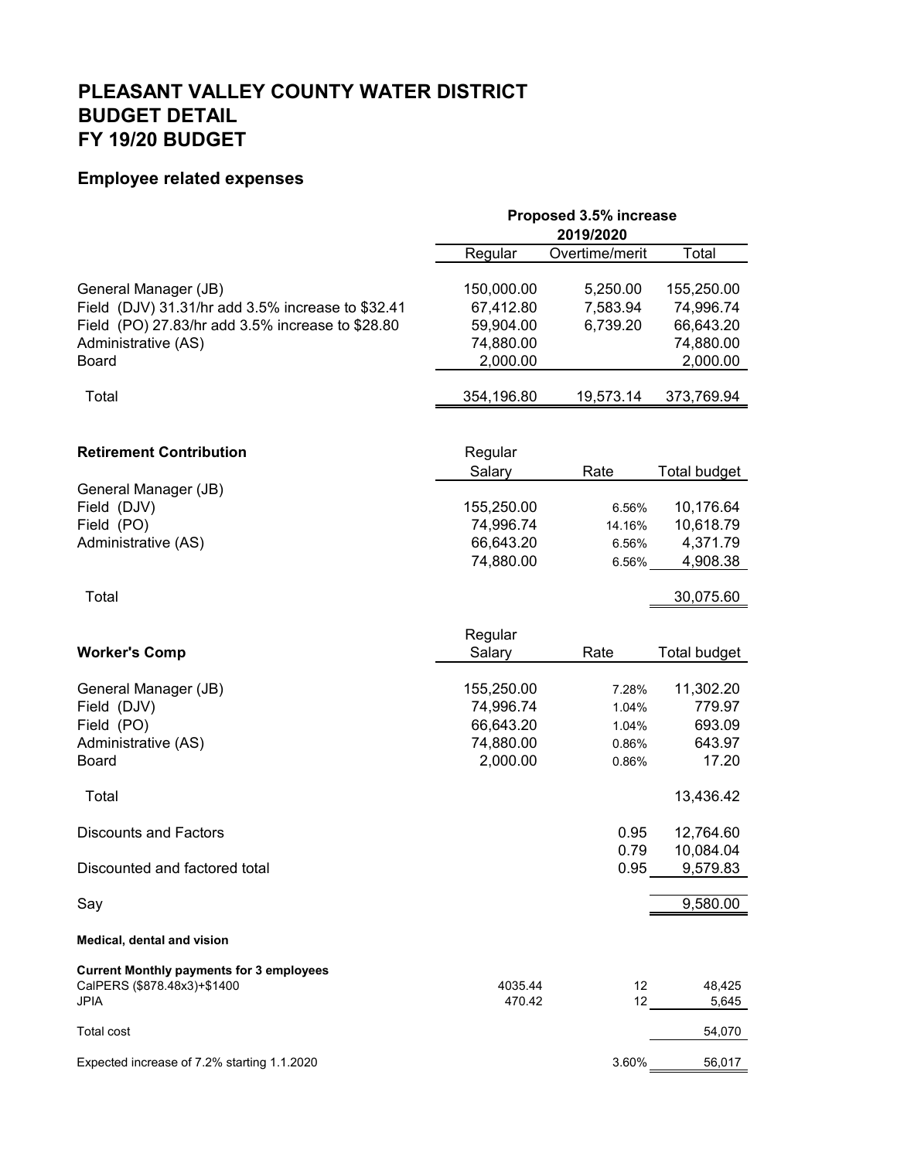## **Employee related expenses**

|                                                   | Proposed 3.5% increase |                 |              |
|---------------------------------------------------|------------------------|-----------------|--------------|
|                                                   | 2019/2020              |                 |              |
|                                                   | Regular                | Overtime/merit  | Total        |
| General Manager (JB)                              | 150,000.00             | 5,250.00        | 155,250.00   |
| Field (DJV) 31.31/hr add 3.5% increase to \$32.41 | 67,412.80              | 7,583.94        | 74,996.74    |
| Field (PO) 27.83/hr add 3.5% increase to \$28.80  | 59,904.00              | 6,739.20        | 66,643.20    |
| Administrative (AS)                               | 74,880.00              |                 | 74,880.00    |
| <b>Board</b>                                      | 2,000.00               |                 | 2,000.00     |
| Total                                             | 354,196.80             | 19,573.14       | 373,769.94   |
|                                                   |                        |                 |              |
| <b>Retirement Contribution</b>                    | Regular                |                 |              |
|                                                   | Salary                 | Rate            | Total budget |
| General Manager (JB)                              |                        |                 |              |
| Field (DJV)                                       | 155,250.00             | 6.56%           | 10,176.64    |
| Field (PO)                                        | 74,996.74              | 14.16%          | 10,618.79    |
| Administrative (AS)                               | 66,643.20              | 6.56%           | 4,371.79     |
|                                                   | 74,880.00              | 6.56%           | 4,908.38     |
| Total                                             |                        |                 | 30,075.60    |
|                                                   | Regular                |                 |              |
| <b>Worker's Comp</b>                              | Salary                 | Rate            | Total budget |
| General Manager (JB)                              | 155,250.00             | 7.28%           | 11,302.20    |
| Field (DJV)                                       | 74,996.74              | 1.04%           | 779.97       |
| Field (PO)                                        | 66,643.20              | 1.04%           | 693.09       |
| Administrative (AS)                               | 74,880.00              | 0.86%           | 643.97       |
| Board                                             | 2,000.00               | 0.86%           | 17.20        |
| Total                                             |                        |                 | 13,436.42    |
| <b>Discounts and Factors</b>                      |                        | 0.95            | 12,764.60    |
|                                                   |                        | 0.79            | 10,084.04    |
| Discounted and factored total                     |                        | 0.95            | 9,579.83     |
| Say                                               |                        |                 | 9,580.00     |
| Medical, dental and vision                        |                        |                 |              |
| <b>Current Monthly payments for 3 employees</b>   |                        |                 |              |
| CalPERS (\$878.48x3)+\$1400                       | 4035.44                | 12              | 48,425       |
| JPIA                                              | 470.42                 | 12 <sup>°</sup> | 5,645        |
| Total cost                                        |                        |                 | 54,070       |
| Expected increase of 7.2% starting 1.1.2020       |                        | 3.60%           | 56,017       |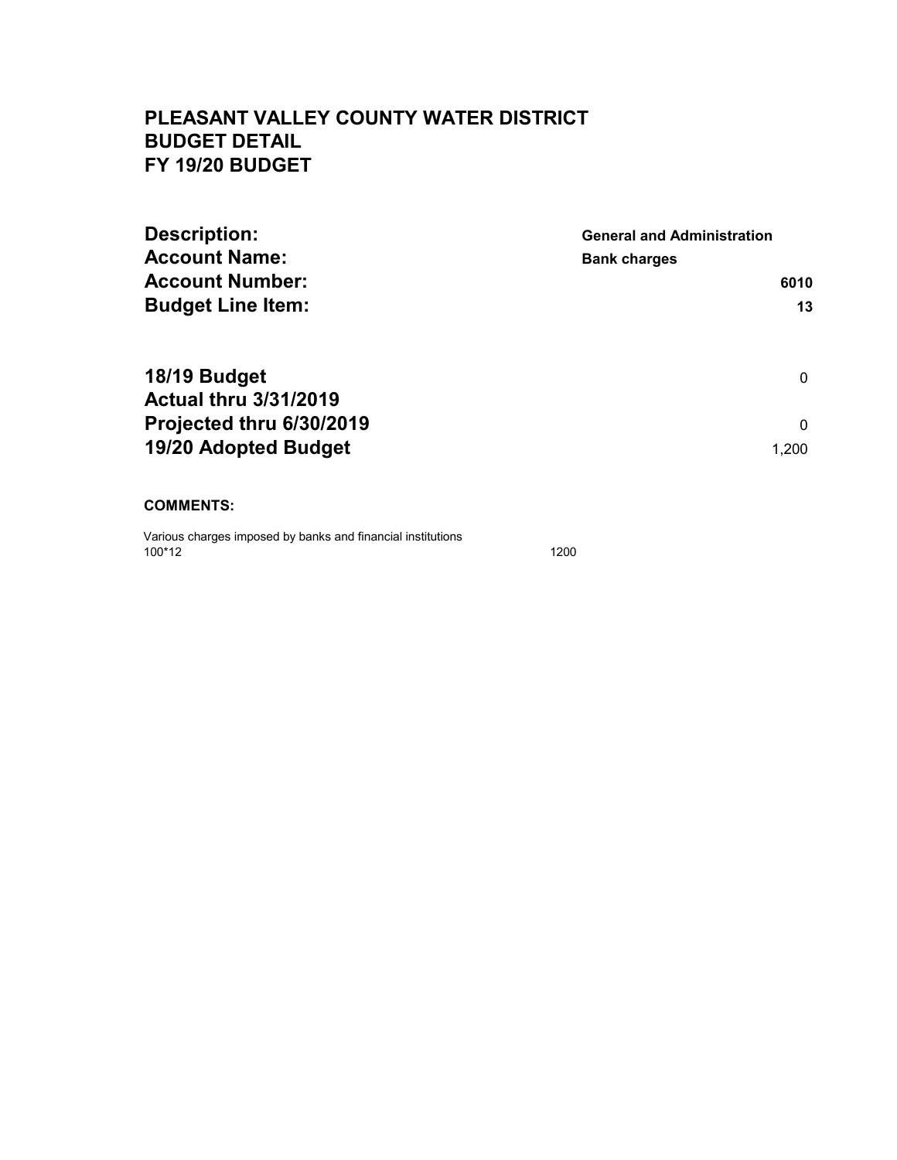| <b>Description:</b>          | <b>General and Administration</b> |
|------------------------------|-----------------------------------|
| <b>Account Name:</b>         | <b>Bank charges</b>               |
| <b>Account Number:</b>       | 6010                              |
| <b>Budget Line Item:</b>     | 13                                |
| 18/19 Budget                 | $\mathbf{0}$                      |
| <b>Actual thru 3/31/2019</b> |                                   |
| Projected thru 6/30/2019     | $\Omega$                          |
| 19/20 Adopted Budget         | 1.200                             |

#### **COMMENTS:**

Various charges imposed by banks and financial institutions 100\*12 100\*12 1200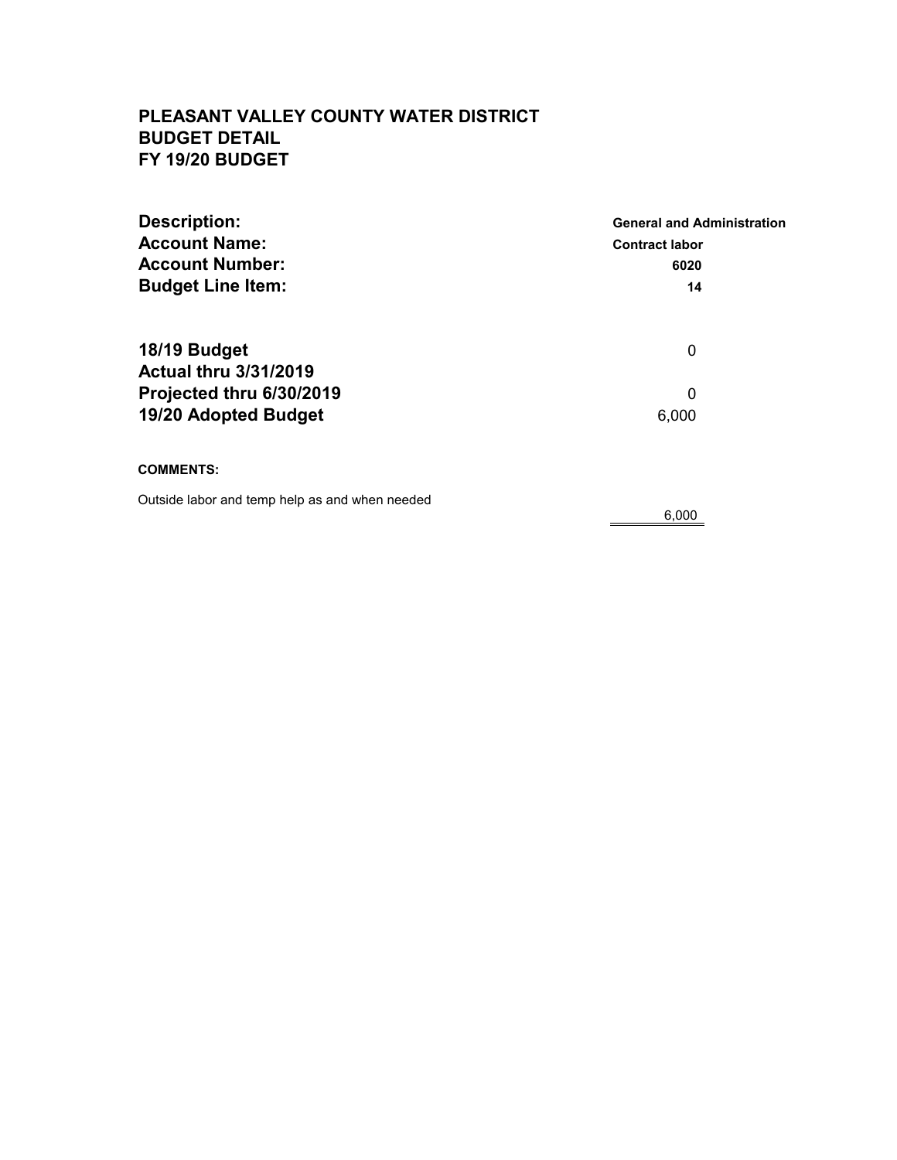| <b>Description:</b>                            | <b>General and Administration</b> |
|------------------------------------------------|-----------------------------------|
| <b>Account Name:</b>                           | <b>Contract labor</b>             |
| <b>Account Number:</b>                         | 6020                              |
| <b>Budget Line Item:</b>                       | 14                                |
| 18/19 Budget                                   | 0                                 |
| <b>Actual thru 3/31/2019</b>                   |                                   |
| Projected thru 6/30/2019                       | 0                                 |
| 19/20 Adopted Budget                           | 6,000                             |
| <b>COMMENTS:</b>                               |                                   |
| Outside labor and temp help as and when needed | 6,000                             |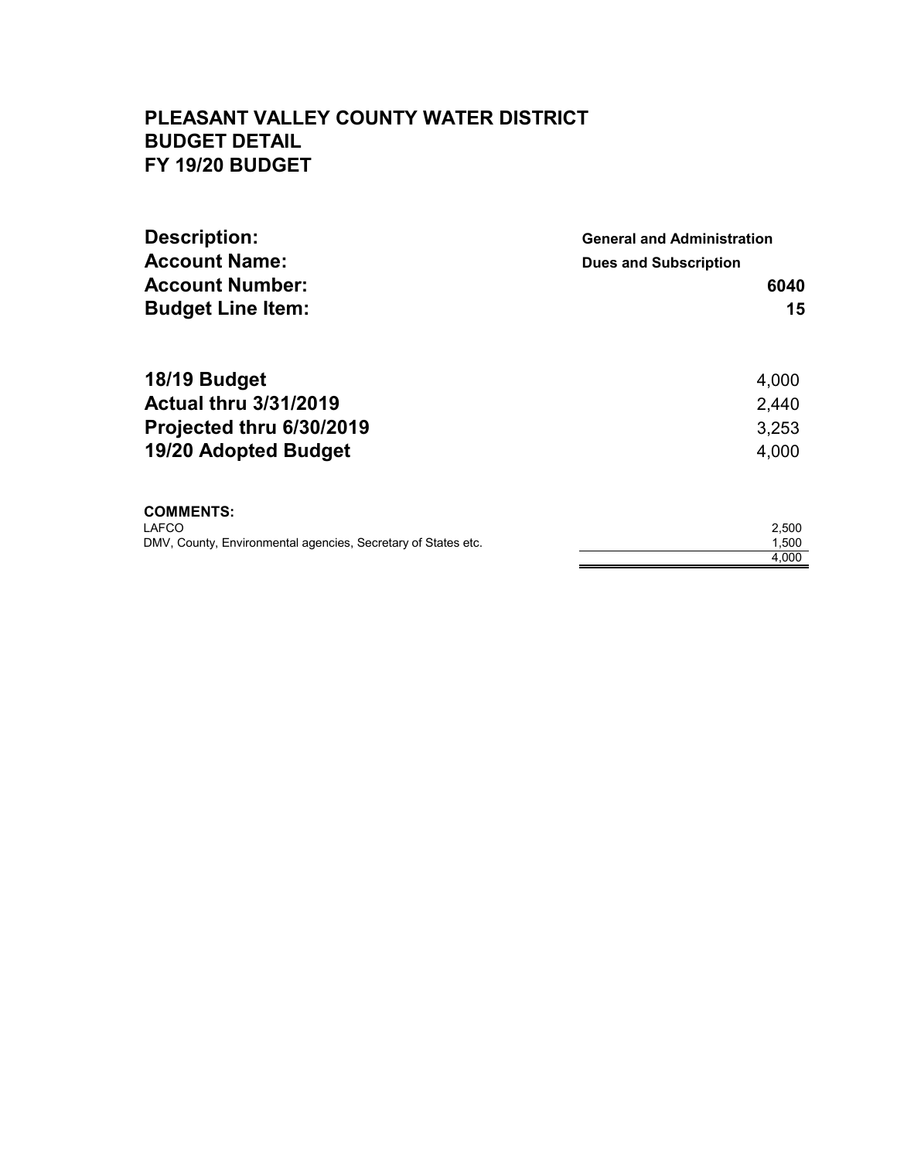| <b>Description:</b>                                           | <b>General and Administration</b> |  |
|---------------------------------------------------------------|-----------------------------------|--|
| <b>Account Name:</b>                                          | <b>Dues and Subscription</b>      |  |
| <b>Account Number:</b>                                        | 6040                              |  |
| <b>Budget Line Item:</b>                                      | 15                                |  |
| 18/19 Budget                                                  | 4,000                             |  |
| <b>Actual thru 3/31/2019</b>                                  | 2,440                             |  |
| Projected thru 6/30/2019                                      | 3,253                             |  |
| <b>19/20 Adopted Budget</b>                                   | 4,000                             |  |
| <b>COMMENTS:</b>                                              |                                   |  |
| LAFCO                                                         | 2,500                             |  |
| DMV, County, Environmental agencies, Secretary of States etc. | 1,500<br>4,000                    |  |
|                                                               |                                   |  |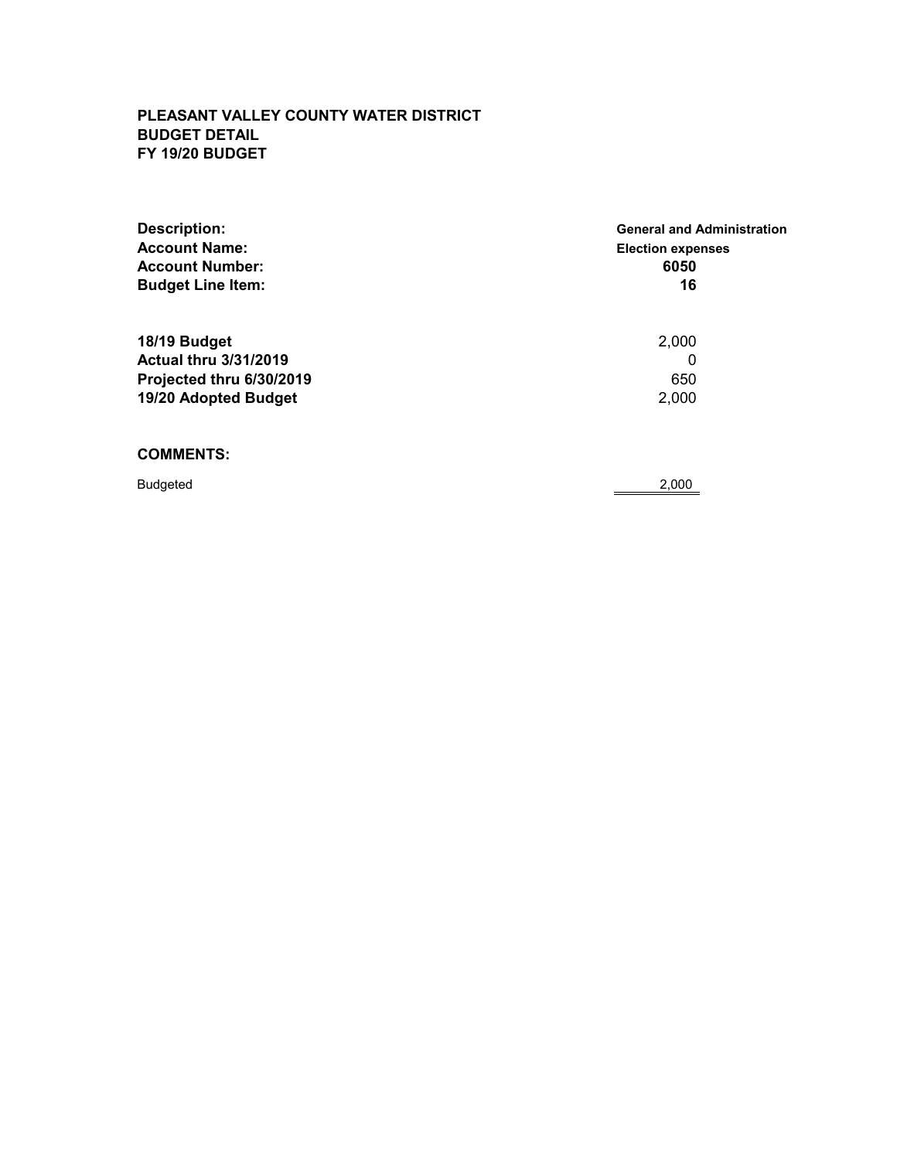| <b>Description:</b><br><b>Account Name:</b><br><b>Account Number:</b><br><b>Budget Line Item:</b> | <b>General and Administration</b><br><b>Election expenses</b><br>6050<br>16 |
|---------------------------------------------------------------------------------------------------|-----------------------------------------------------------------------------|
|                                                                                                   |                                                                             |
| 18/19 Budget                                                                                      | 2,000                                                                       |
| <b>Actual thru 3/31/2019</b>                                                                      | 0                                                                           |
| Projected thru 6/30/2019                                                                          | 650                                                                         |
| 19/20 Adopted Budget                                                                              | 2,000                                                                       |
| <b>COMMENTS:</b>                                                                                  |                                                                             |
| <b>Budgeted</b>                                                                                   | 2.000                                                                       |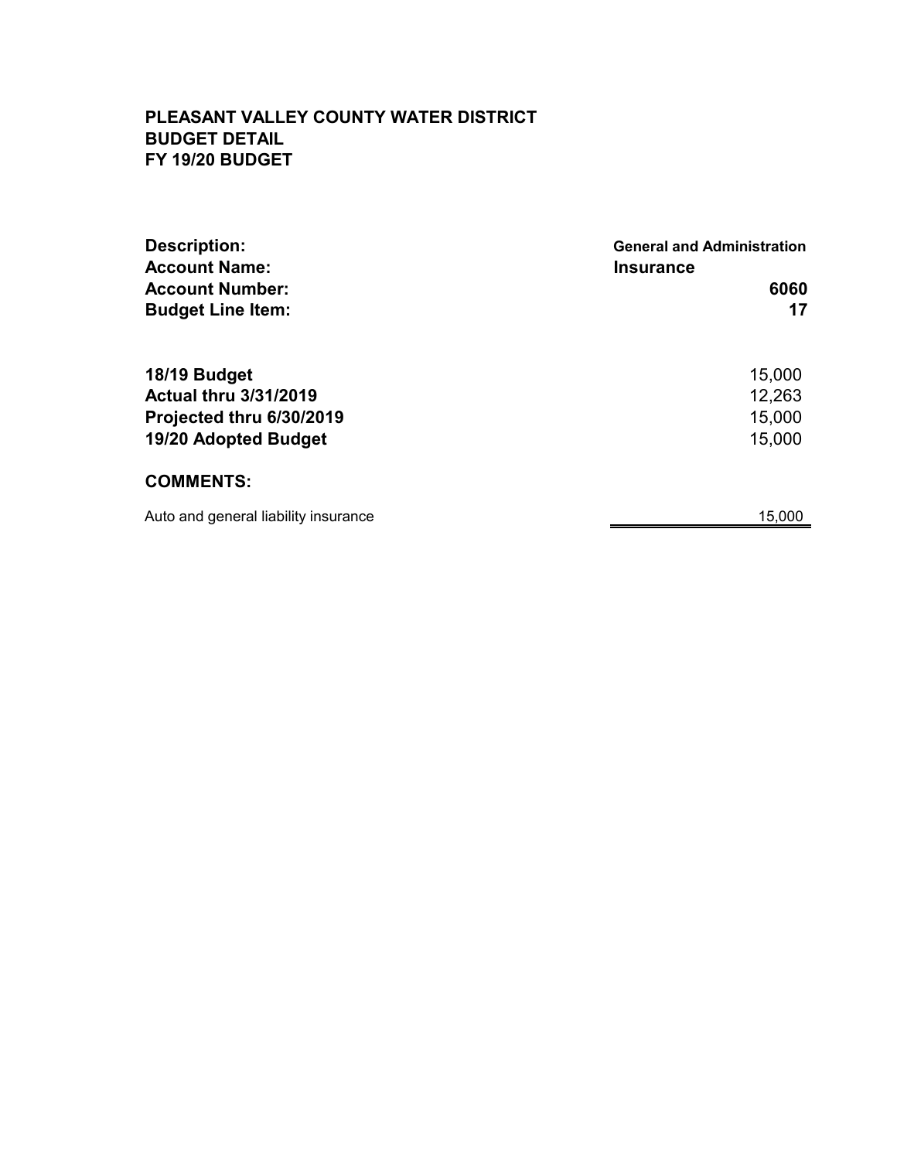| <b>Description:</b><br><b>Account Name:</b>                                                      | <b>General and Administration</b><br><b>Insurance</b> |
|--------------------------------------------------------------------------------------------------|-------------------------------------------------------|
| <b>Account Number:</b>                                                                           | 6060                                                  |
| <b>Budget Line Item:</b>                                                                         | 17                                                    |
| 18/19 Budget<br><b>Actual thru 3/31/2019</b><br>Projected thru 6/30/2019<br>19/20 Adopted Budget | 15,000<br>12,263<br>15,000<br>15,000                  |
| <b>COMMENTS:</b>                                                                                 |                                                       |
| Auto and general liability insurance                                                             | 15,000                                                |
|                                                                                                  |                                                       |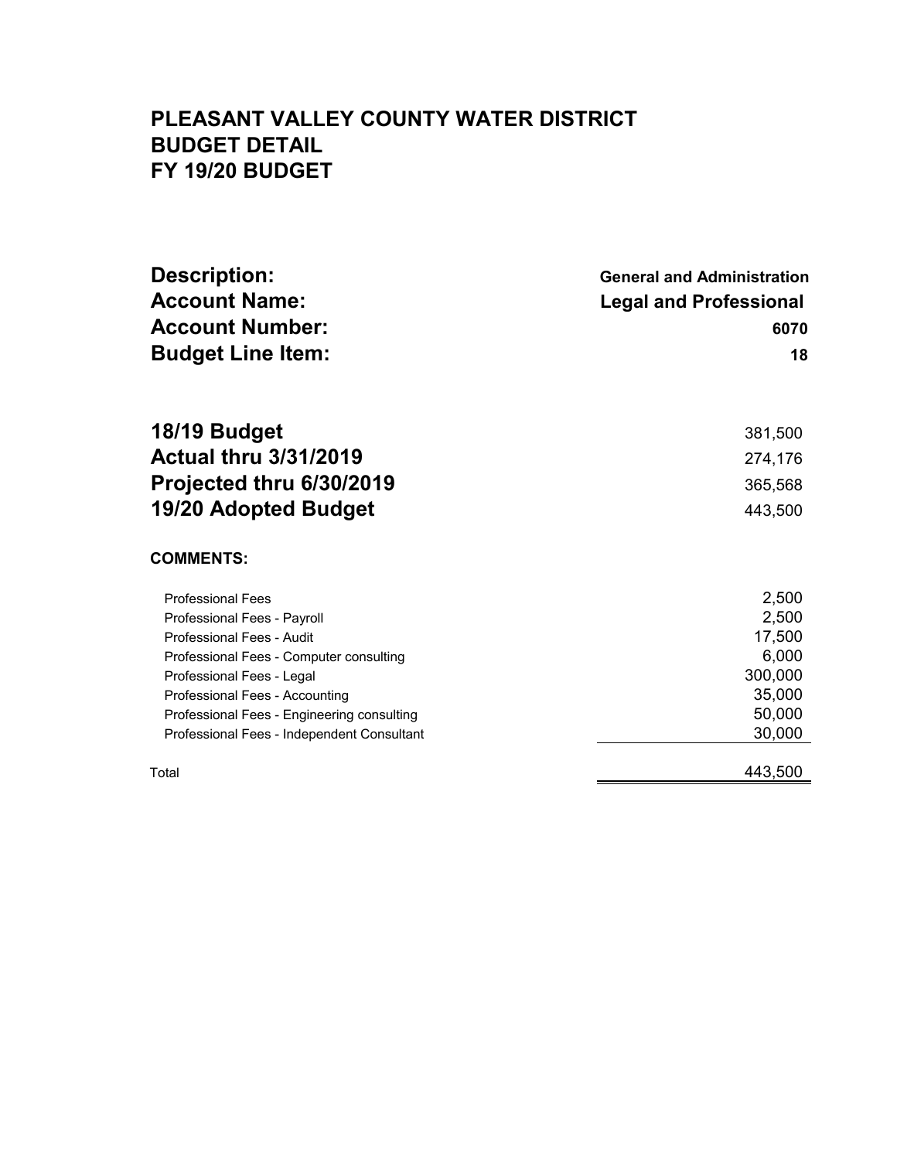| <b>Description:</b><br><b>Account Name:</b>                                              | <b>General and Administration</b><br><b>Legal and Professional</b> |
|------------------------------------------------------------------------------------------|--------------------------------------------------------------------|
| <b>Account Number:</b><br><b>Budget Line Item:</b>                                       | 6070<br>18                                                         |
|                                                                                          |                                                                    |
| 18/19 Budget                                                                             | 381,500                                                            |
| <b>Actual thru 3/31/2019</b>                                                             | 274,176                                                            |
| Projected thru 6/30/2019                                                                 | 365,568                                                            |
| 19/20 Adopted Budget                                                                     | 443,500                                                            |
| <b>COMMENTS:</b>                                                                         |                                                                    |
| <b>Professional Fees</b>                                                                 | 2,500                                                              |
| Professional Fees - Payroll                                                              | 2,500                                                              |
| Professional Fees - Audit                                                                | 17,500                                                             |
| Professional Fees - Computer consulting                                                  | 6,000                                                              |
| Professional Fees - Legal                                                                | 300,000                                                            |
| Professional Fees - Accounting                                                           | 35,000                                                             |
| Professional Fees - Engineering consulting<br>Professional Fees - Independent Consultant | 50,000<br>30,000                                                   |
|                                                                                          |                                                                    |
| Total                                                                                    | 443,500                                                            |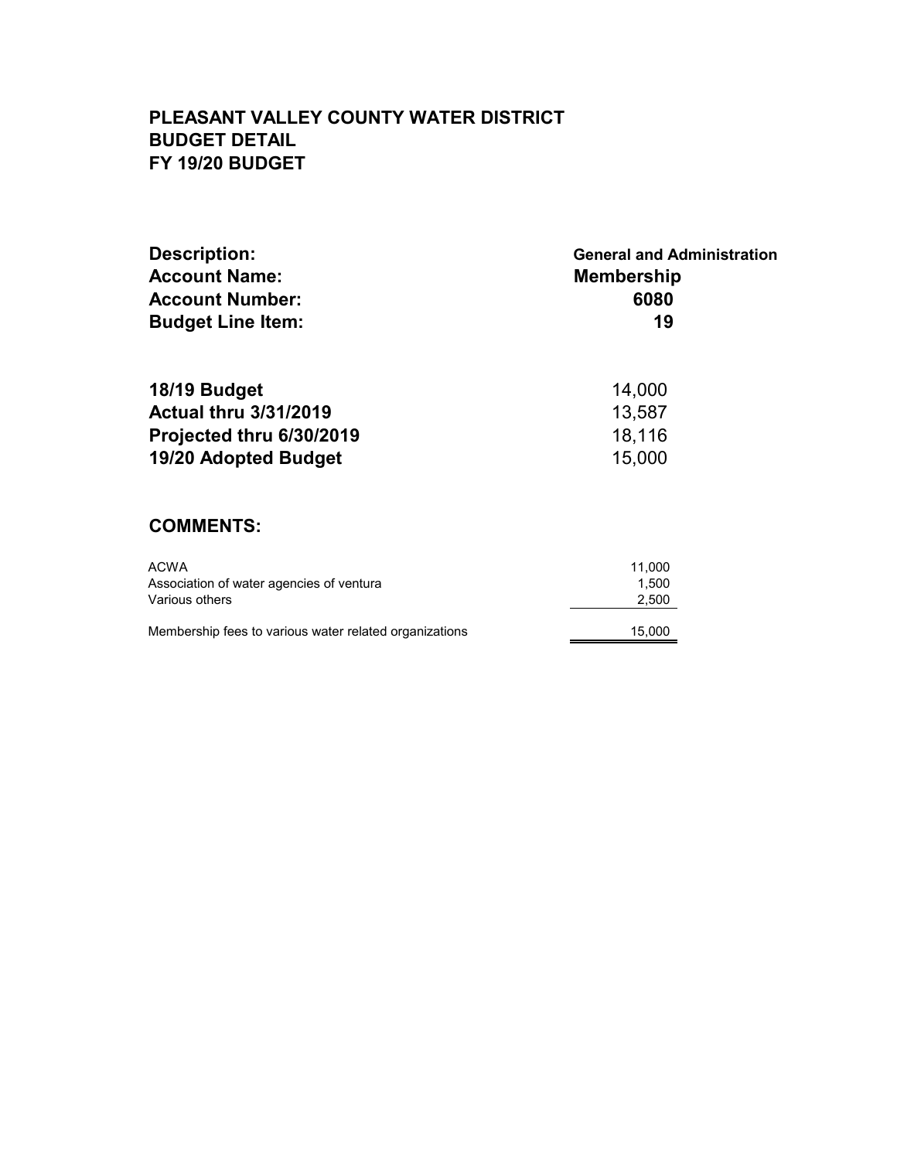| <b>Description:</b>                      | <b>General and Administration</b><br><b>Membership</b> |  |
|------------------------------------------|--------------------------------------------------------|--|
| <b>Account Name:</b>                     |                                                        |  |
| <b>Account Number:</b>                   | 6080                                                   |  |
| <b>Budget Line Item:</b>                 | 19                                                     |  |
| 18/19 Budget                             | 14,000                                                 |  |
| <b>Actual thru 3/31/2019</b>             | 13,587                                                 |  |
| Projected thru 6/30/2019                 | 18,116                                                 |  |
| 19/20 Adopted Budget                     | 15,000                                                 |  |
| <b>COMMENTS:</b>                         |                                                        |  |
| <b>ACWA</b>                              | 11,000                                                 |  |
| Association of water agencies of ventura | 1,500                                                  |  |
| Various others                           | 2,500                                                  |  |

Membership fees to various water related organizations 15,000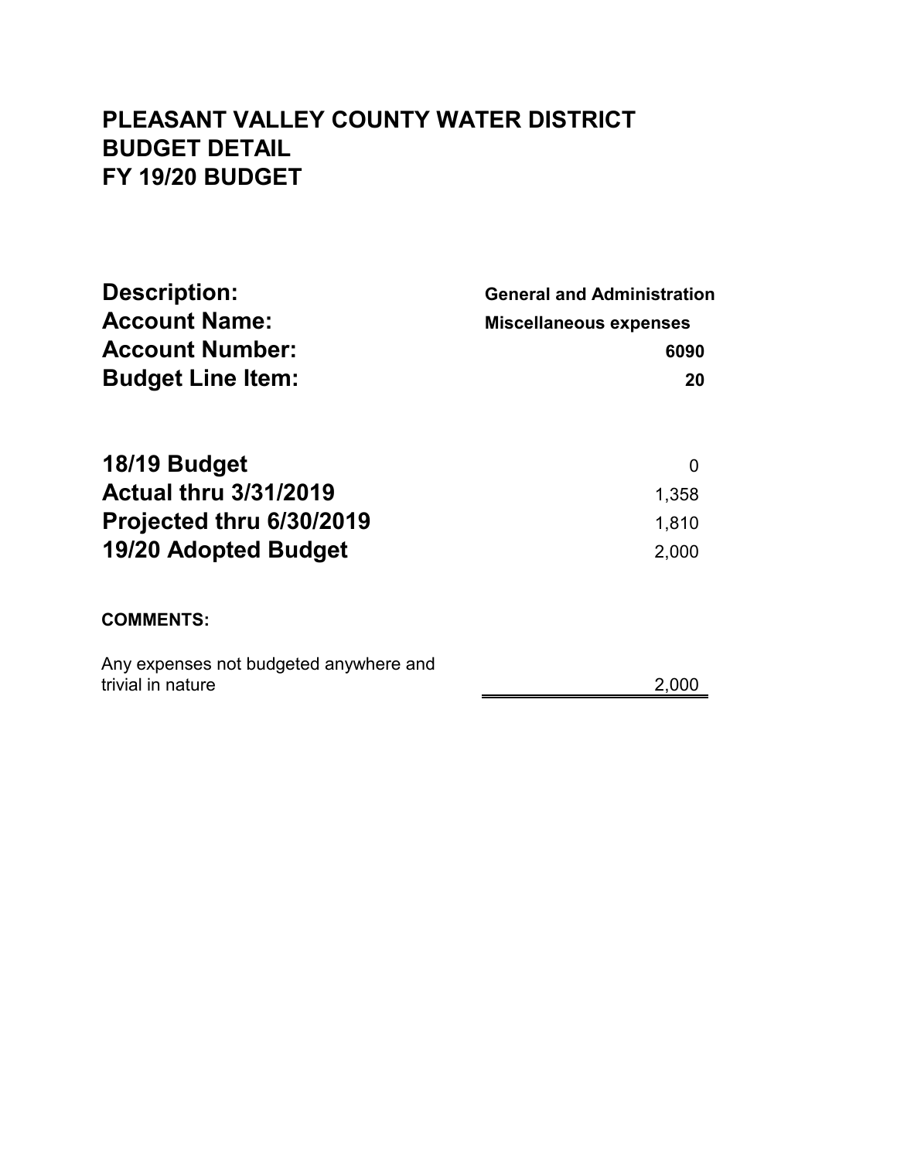| <b>Description:</b>      | <b>General and Administration</b> |
|--------------------------|-----------------------------------|
| <b>Account Name:</b>     | <b>Miscellaneous expenses</b>     |
| <b>Account Number:</b>   | 6090                              |
| <b>Budget Line Item:</b> | 20                                |

| 18/19 Budget                 | 0     |
|------------------------------|-------|
| <b>Actual thru 3/31/2019</b> | 1,358 |
| Projected thru 6/30/2019     | 1.810 |
| 19/20 Adopted Budget         | 2.000 |

## **COMMENTS:**

| Any expenses not budgeted anywhere and |       |
|----------------------------------------|-------|
| trivial in nature                      | 2.000 |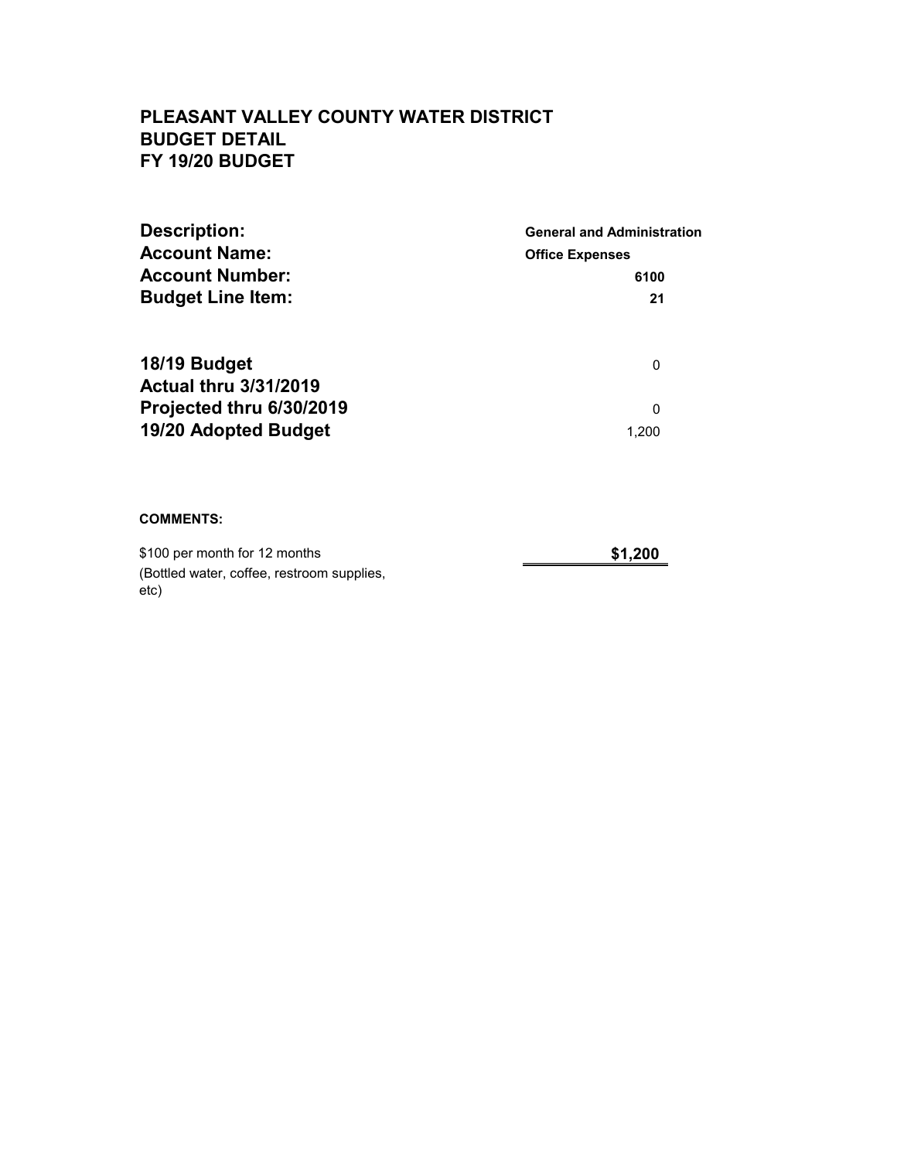| <b>Description:</b>                                      | <b>General and Administration</b><br><b>Office Expenses</b> |  |
|----------------------------------------------------------|-------------------------------------------------------------|--|
| <b>Account Name:</b>                                     |                                                             |  |
| <b>Account Number:</b>                                   | 6100                                                        |  |
| <b>Budget Line Item:</b>                                 | 21                                                          |  |
| 18/19 Budget                                             | 0                                                           |  |
| <b>Actual thru 3/31/2019</b><br>Projected thru 6/30/2019 | 0                                                           |  |
| 19/20 Adopted Budget                                     | 1.200                                                       |  |

#### **COMMENTS:**

| \$100 per month for 12 months              | \$1,200 |
|--------------------------------------------|---------|
| (Bottled water, coffee, restroom supplies, |         |
| etc)                                       |         |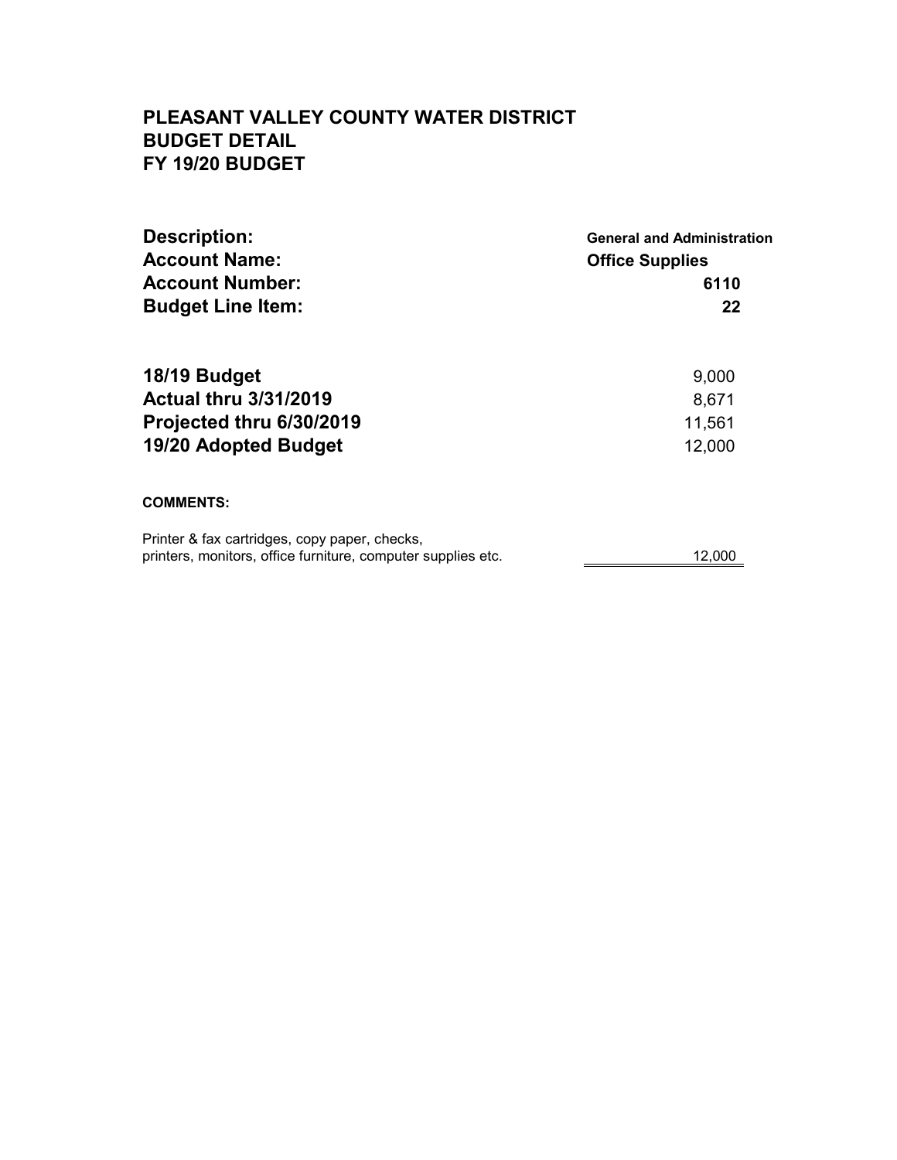| <b>Description:</b>                                          | <b>General and Administration</b> |  |
|--------------------------------------------------------------|-----------------------------------|--|
| <b>Account Name:</b>                                         | <b>Office Supplies</b><br>6110    |  |
| <b>Account Number:</b>                                       |                                   |  |
| <b>Budget Line Item:</b>                                     | 22                                |  |
| 18/19 Budget                                                 | 9,000                             |  |
| <b>Actual thru 3/31/2019</b>                                 | 8,671                             |  |
| Projected thru 6/30/2019                                     | 11,561                            |  |
| 19/20 Adopted Budget                                         | 12,000                            |  |
| <b>COMMENTS:</b>                                             |                                   |  |
| Printer & fax cartridges, copy paper, checks,                |                                   |  |
| printers, monitors, office furniture, computer supplies etc. | 12.000                            |  |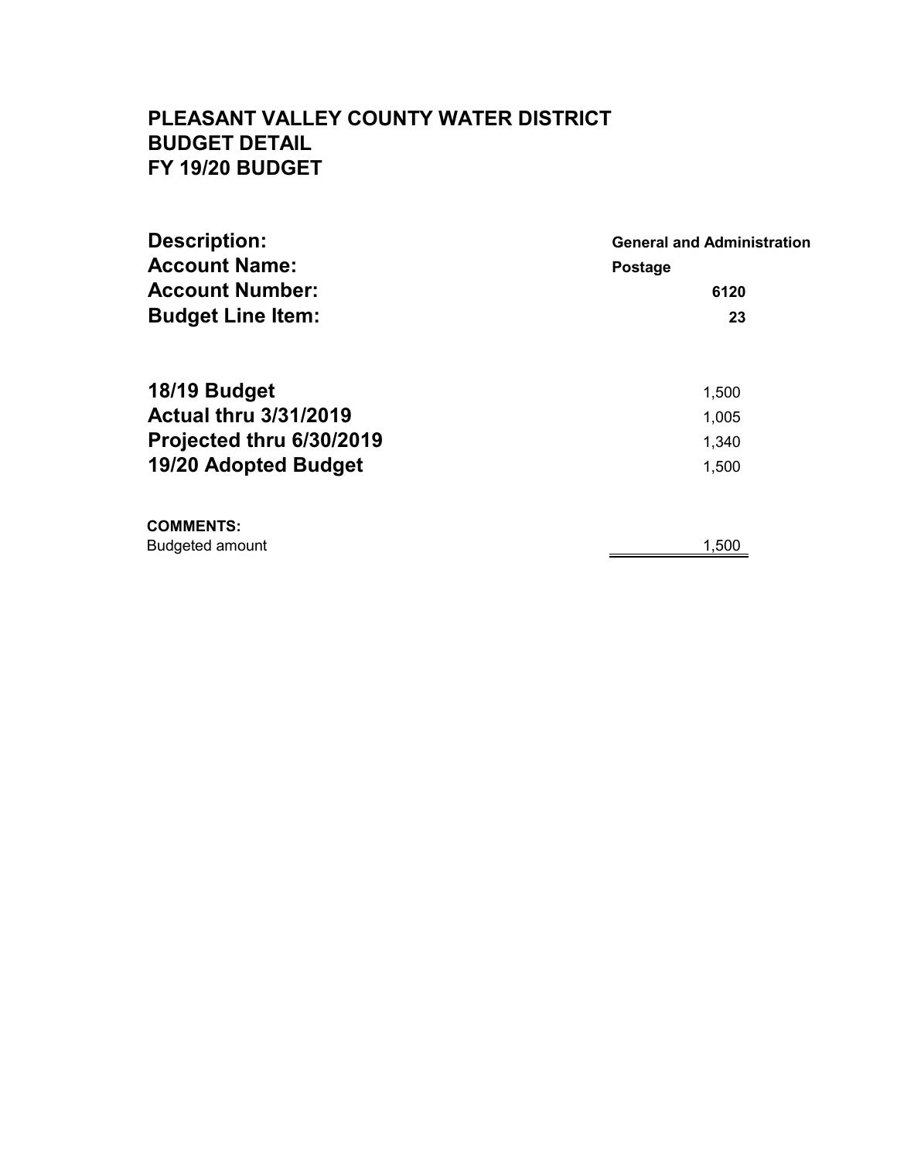| <b>Description:</b>          | <b>General and Administration</b> |  |
|------------------------------|-----------------------------------|--|
| <b>Account Name:</b>         | <b>Postage</b>                    |  |
| <b>Account Number:</b>       | 6120                              |  |
| <b>Budget Line Item:</b>     | 23                                |  |
| 18/19 Budget                 | 1,500                             |  |
| <b>Actual thru 3/31/2019</b> | 1,005                             |  |
| Projected thru 6/30/2019     | 1,340                             |  |
| <b>19/20 Adopted Budget</b>  | 1,500                             |  |
| <b>COMMENTS:</b>             |                                   |  |
| <b>Budgeted amount</b>       | 1,500                             |  |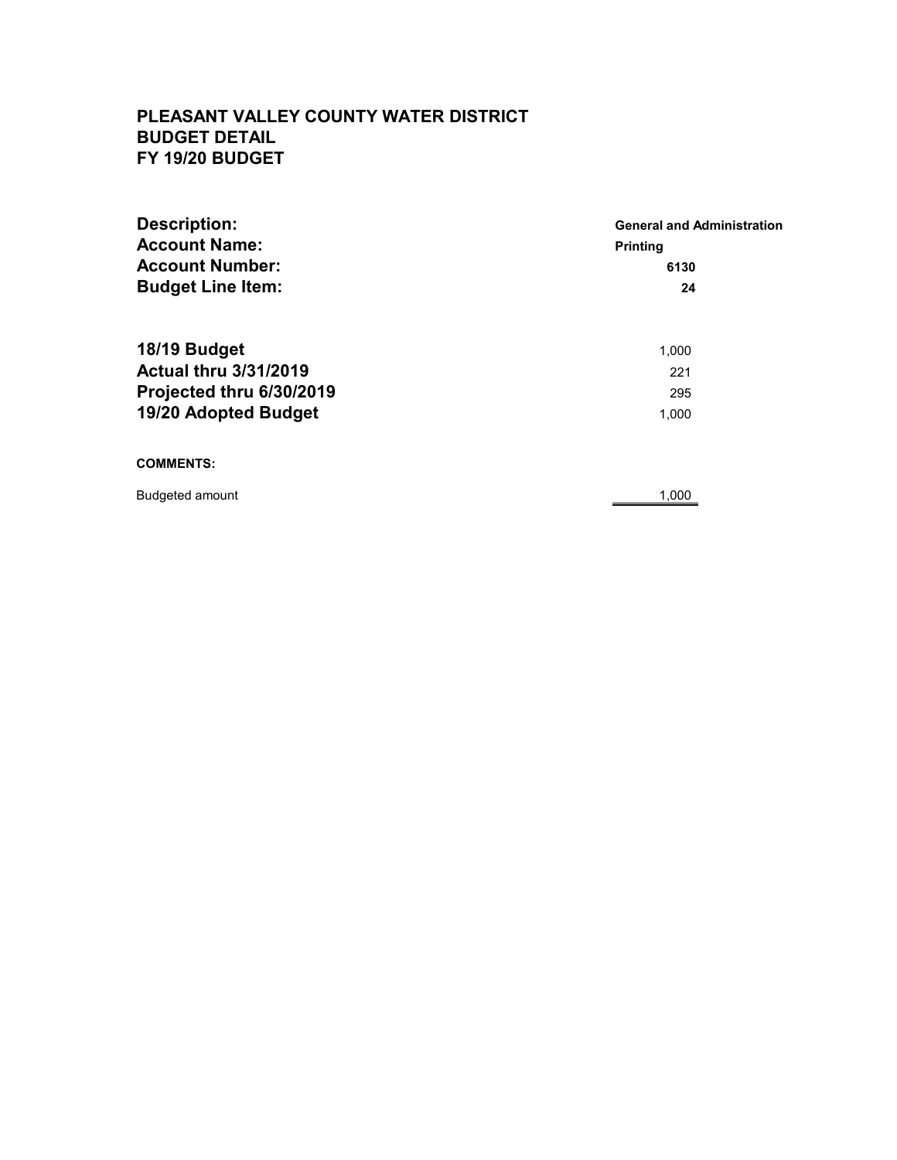| <b>Description:</b><br><b>Account Name:</b><br><b>Account Number:</b> | <b>General and Administration</b><br><b>Printing</b><br>6130 |  |
|-----------------------------------------------------------------------|--------------------------------------------------------------|--|
| <b>Budget Line Item:</b>                                              | 24                                                           |  |
| 18/19 Budget<br><b>Actual thru 3/31/2019</b>                          | 1,000<br>221                                                 |  |
| Projected thru 6/30/2019                                              | 295                                                          |  |
| 19/20 Adopted Budget                                                  | 1,000                                                        |  |
| <b>COMMENTS:</b>                                                      |                                                              |  |
| <b>Budgeted amount</b>                                                | 1,000                                                        |  |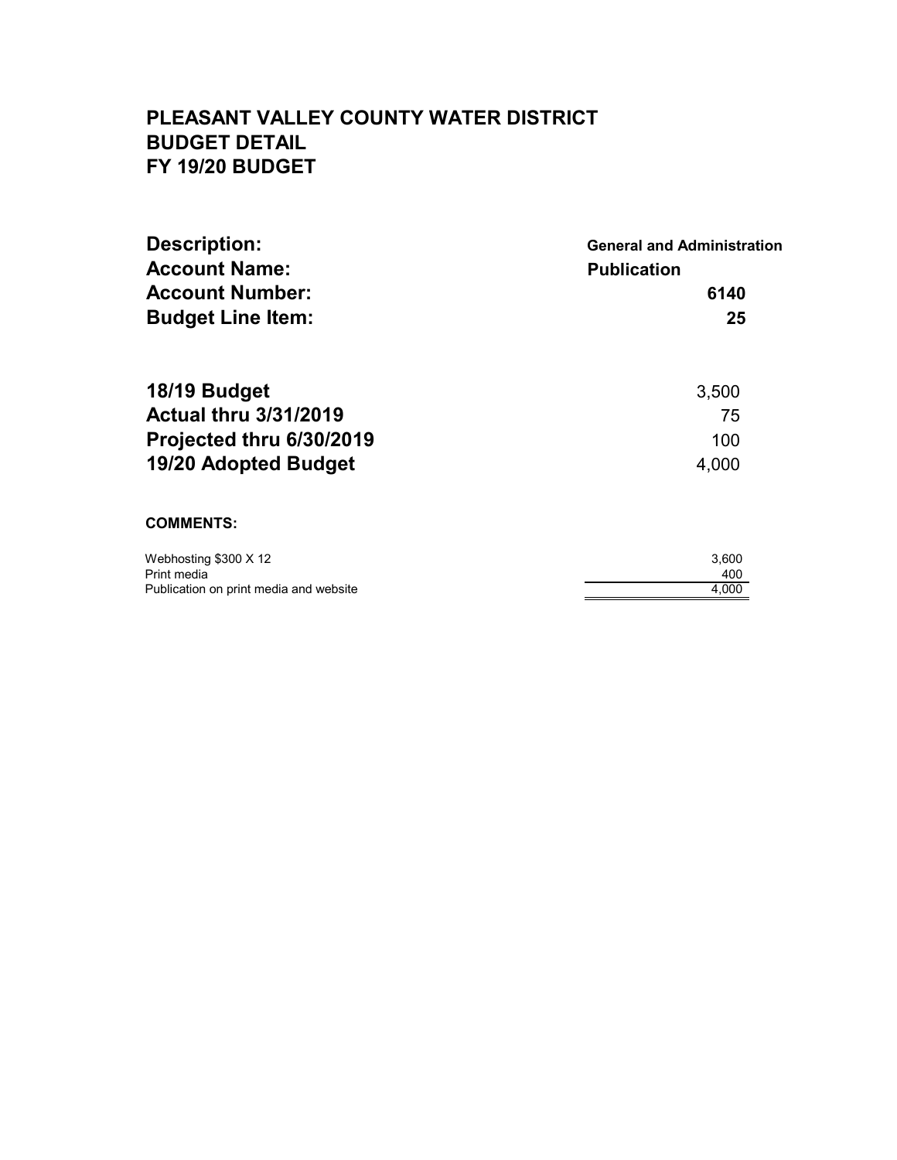| <b>Description:</b>            | <b>General and Administration</b><br><b>Publication</b><br>6140 |  |
|--------------------------------|-----------------------------------------------------------------|--|
| <b>Account Name:</b>           |                                                                 |  |
| <b>Account Number:</b>         |                                                                 |  |
| <b>Budget Line Item:</b>       | 25                                                              |  |
| 18/19 Budget                   | 3,500                                                           |  |
| <b>Actual thru 3/31/2019</b>   | 75                                                              |  |
| Projected thru 6/30/2019       | 100                                                             |  |
| 19/20 Adopted Budget           | 4,000                                                           |  |
| <b>COMMENTS:</b>               |                                                                 |  |
| $M_{\rm chhoch}$ COM $\sim 40$ | s con                                                           |  |

| Webhosting \$300 X 12                  | 3.600 |
|----------------------------------------|-------|
| Print media                            | 400   |
| Publication on print media and website | 4.000 |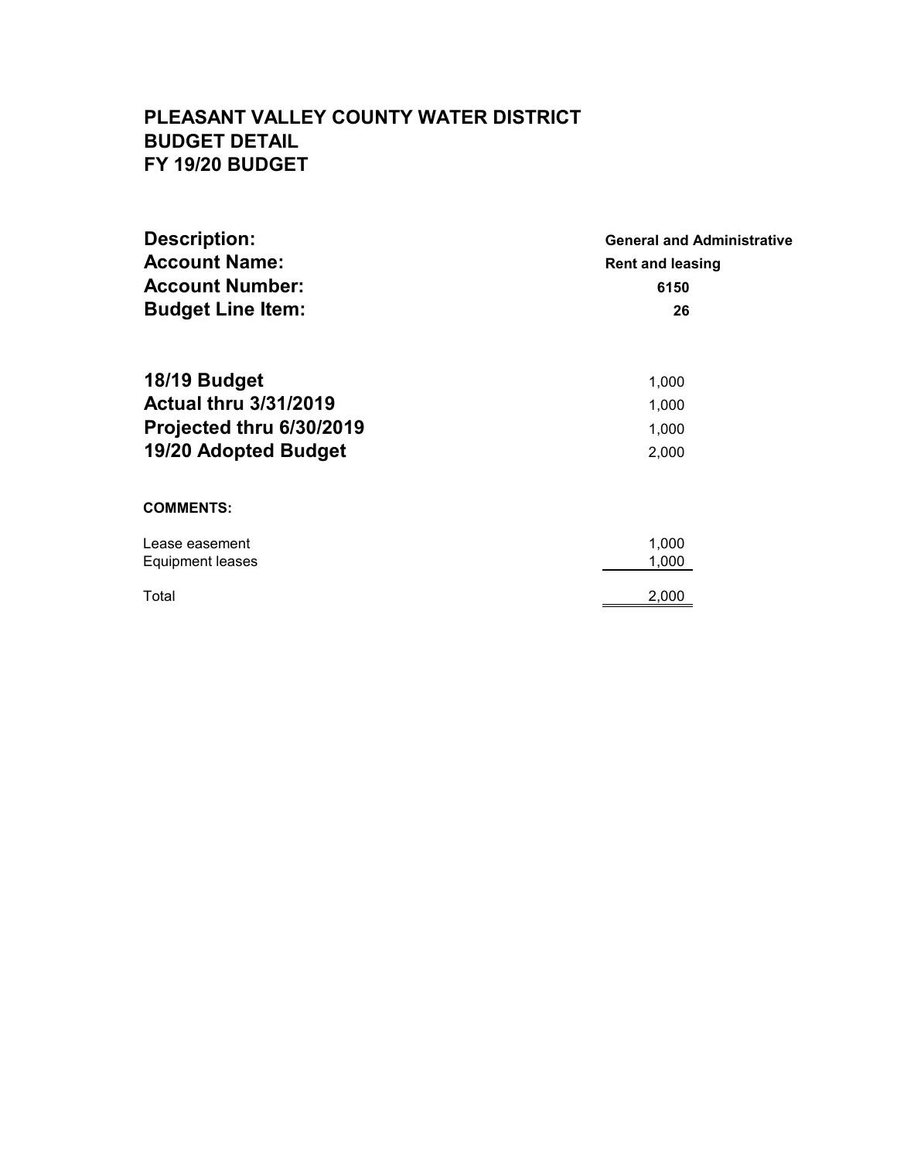| <b>Description:</b>          | <b>General and Administrative</b> |
|------------------------------|-----------------------------------|
| <b>Account Name:</b>         | <b>Rent and leasing</b>           |
| <b>Account Number:</b>       | 6150                              |
| <b>Budget Line Item:</b>     | 26                                |
| 18/19 Budget                 | 1,000                             |
| <b>Actual thru 3/31/2019</b> | 1,000                             |
| Projected thru 6/30/2019     | 1,000                             |
| 19/20 Adopted Budget         | 2,000                             |
| <b>COMMENTS:</b>             |                                   |
| Lease easement               | 1,000                             |
| <b>Equipment leases</b>      | 1,000                             |
| Total                        | 2,000                             |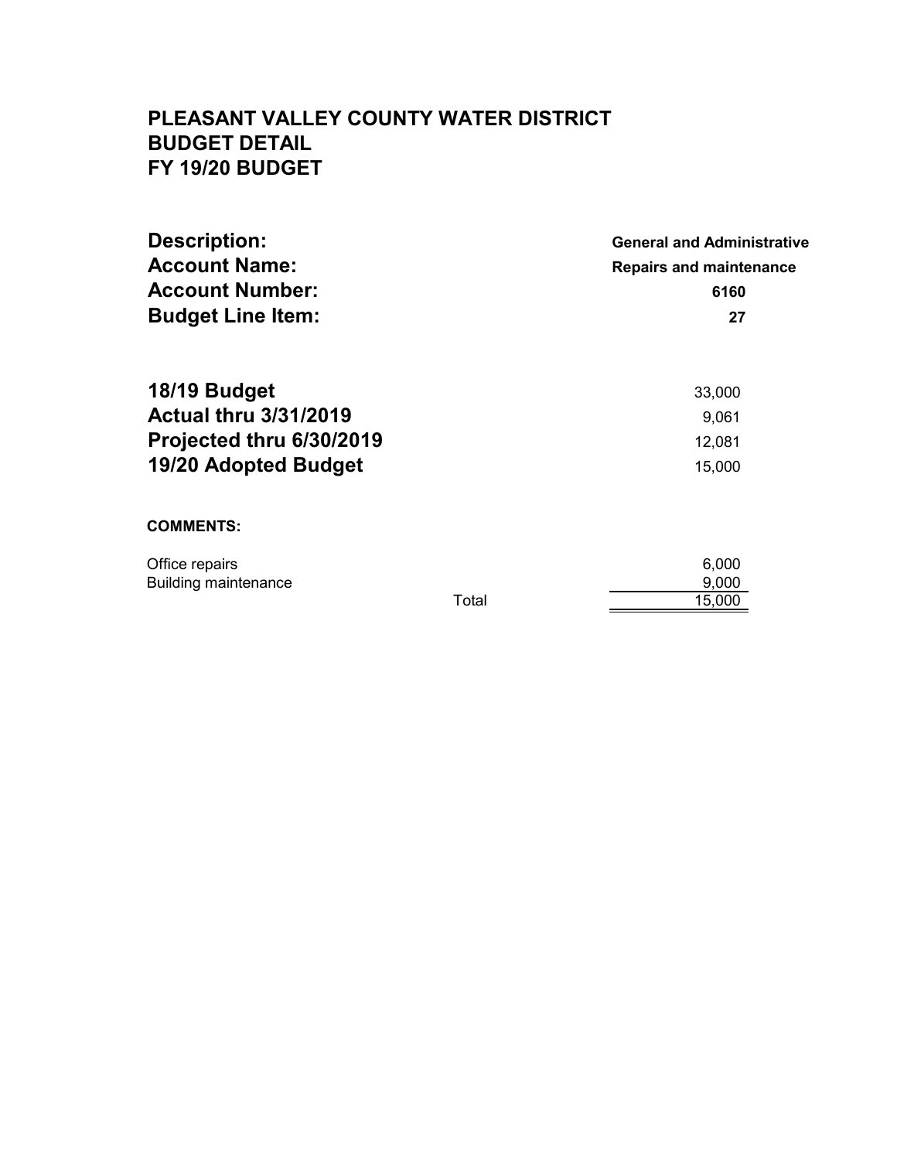| <b>Description:</b>          | <b>General and Administrative</b> |  |  |
|------------------------------|-----------------------------------|--|--|
| <b>Account Name:</b>         | <b>Repairs and maintenance</b>    |  |  |
| <b>Account Number:</b>       | 6160<br>27                        |  |  |
| <b>Budget Line Item:</b>     |                                   |  |  |
| 18/19 Budget                 | 33,000                            |  |  |
| <b>Actual thru 3/31/2019</b> | 9,061                             |  |  |
| Projected thru 6/30/2019     | 12,081                            |  |  |
| 19/20 Adopted Budget         | 15,000                            |  |  |
| <b>COMMENTS:</b>             |                                   |  |  |

| Office repairs              |       | 6,000  |
|-----------------------------|-------|--------|
| <b>Building maintenance</b> |       | 9,000  |
|                             | Total | 15.000 |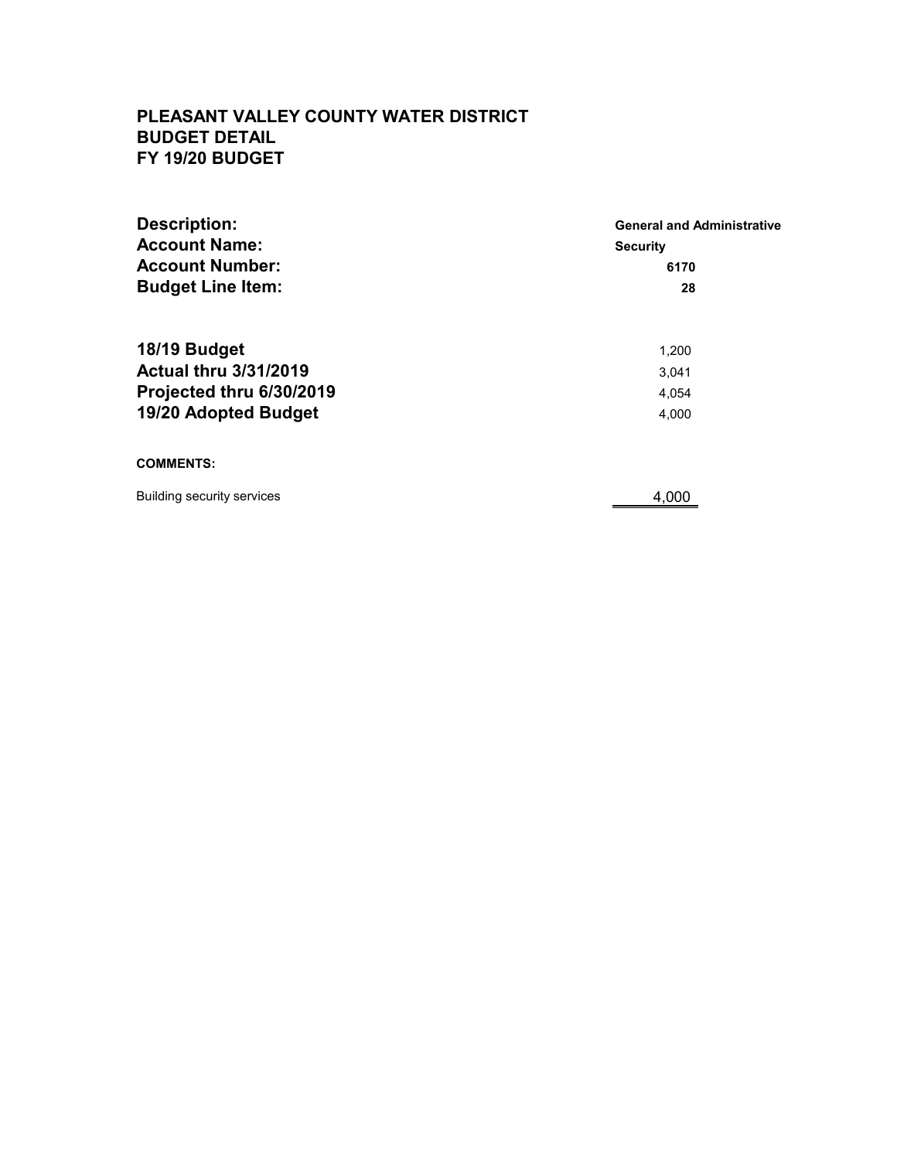| <b>Description:</b>               | <b>General and Administrative</b> |  |  |
|-----------------------------------|-----------------------------------|--|--|
| <b>Account Name:</b>              | <b>Security</b>                   |  |  |
| <b>Account Number:</b>            | 6170                              |  |  |
| <b>Budget Line Item:</b>          | 28                                |  |  |
| 18/19 Budget                      | 1,200                             |  |  |
| <b>Actual thru 3/31/2019</b>      | 3,041                             |  |  |
| Projected thru 6/30/2019          | 4,054                             |  |  |
| 19/20 Adopted Budget              | 4,000                             |  |  |
| <b>COMMENTS:</b>                  |                                   |  |  |
| <b>Building security services</b> | 4,000                             |  |  |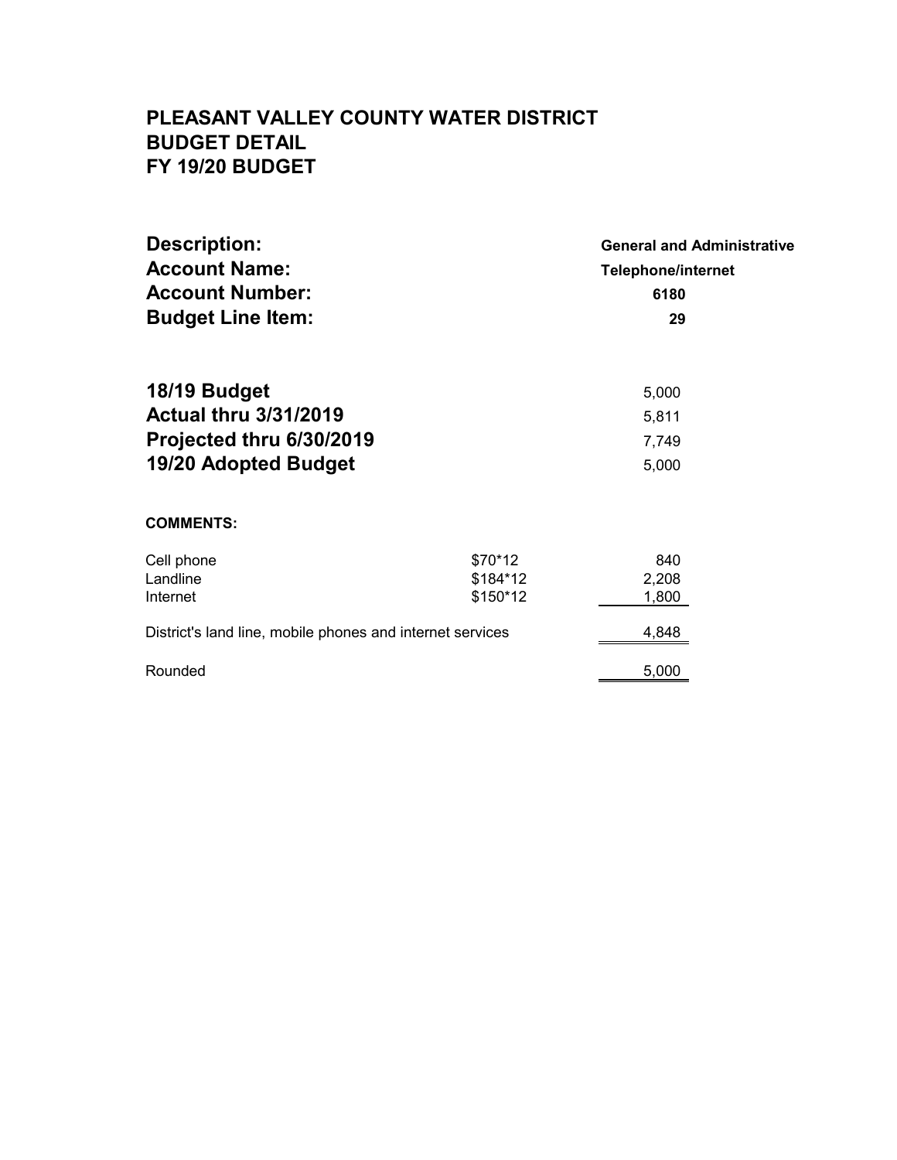| <b>Description:</b><br><b>Account Name:</b><br><b>Account Number:</b><br><b>Budget Line Item:</b> |                                  | <b>General and Administrative</b><br><b>Telephone/internet</b><br>6180<br>29 |
|---------------------------------------------------------------------------------------------------|----------------------------------|------------------------------------------------------------------------------|
| 18/19 Budget<br><b>Actual thru 3/31/2019</b><br>Projected thru 6/30/2019<br>19/20 Adopted Budget  |                                  | 5,000<br>5,811<br>7,749<br>5,000                                             |
| <b>COMMENTS:</b>                                                                                  |                                  |                                                                              |
| Cell phone<br>Landline<br>Internet                                                                | $$70*12$<br>\$184*12<br>\$150*12 | 840<br>2,208<br>1,800                                                        |
| District's land line, mobile phones and internet services                                         |                                  | 4,848                                                                        |
| Rounded                                                                                           |                                  | 5,000                                                                        |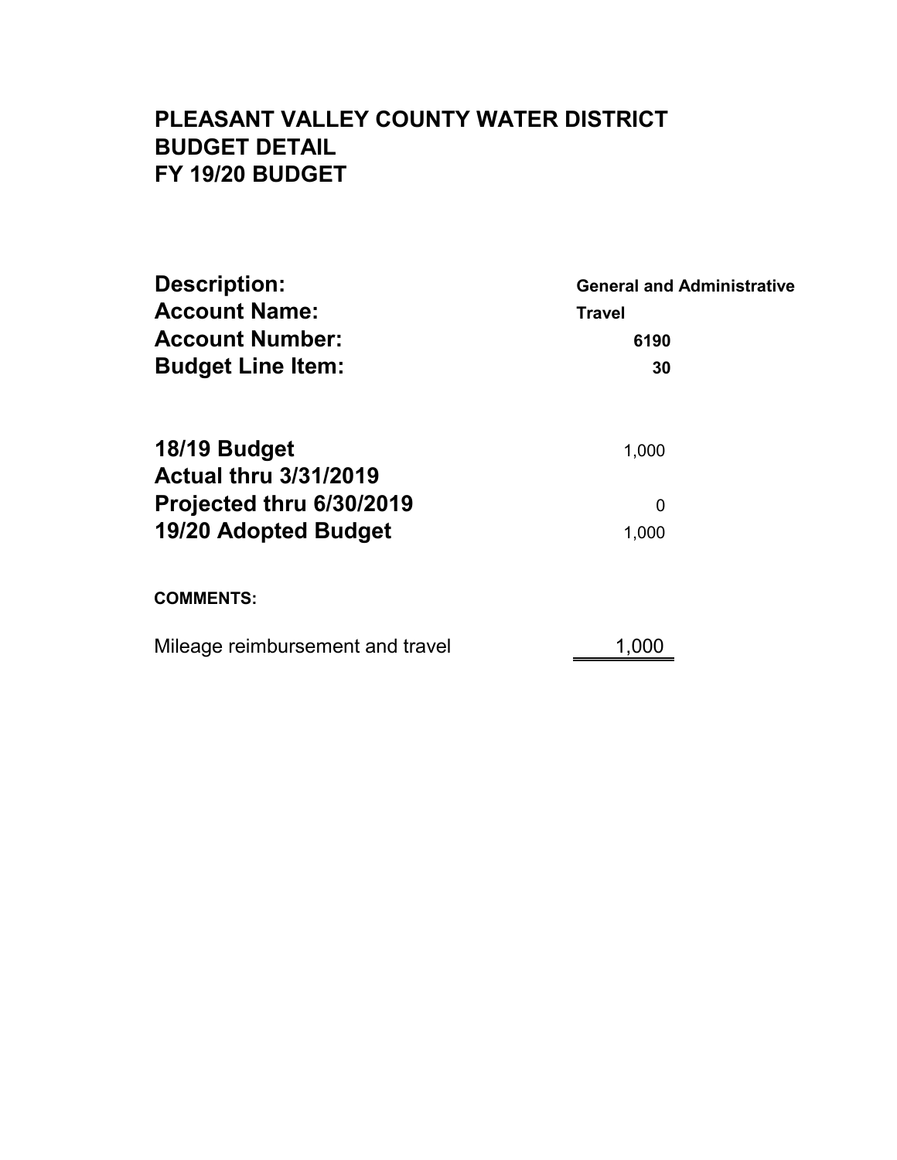| <b>Description:</b><br><b>Account Name:</b> | <b>General and Administrative</b><br><b>Travel</b> |
|---------------------------------------------|----------------------------------------------------|
| <b>Account Number:</b>                      | 6190                                               |
| <b>Budget Line Item:</b>                    | 30                                                 |
|                                             |                                                    |
| 18/19 Budget                                | 1,000                                              |
| <b>Actual thru 3/31/2019</b>                |                                                    |
| Projected thru 6/30/2019                    | $\overline{0}$                                     |
| <b>19/20 Adopted Budget</b>                 | 1,000                                              |
| <b>COMMENTS:</b>                            |                                                    |
| Mileage reimbursement and travel            | 1,000                                              |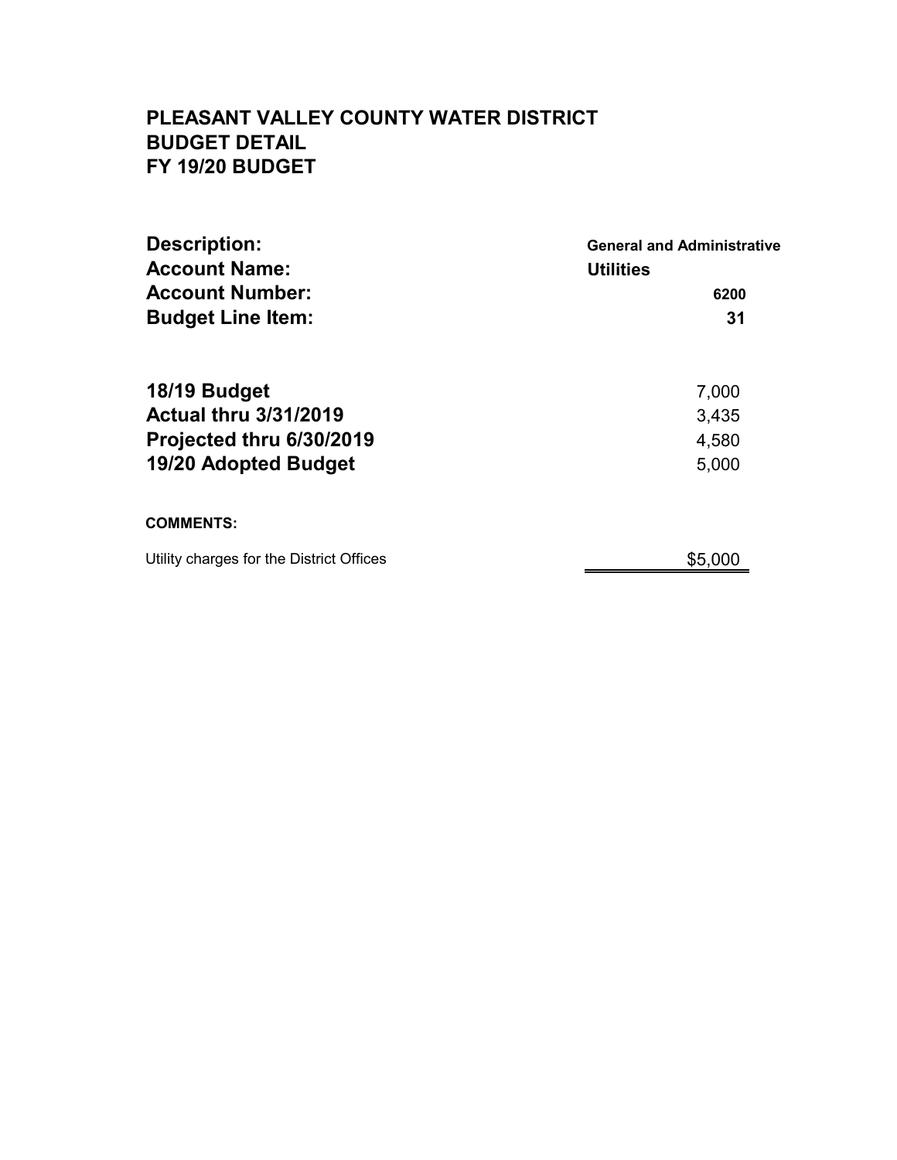| <b>Description:</b>                      | <b>General and Administrative</b> |  |
|------------------------------------------|-----------------------------------|--|
| <b>Account Name:</b>                     | <b>Utilities</b>                  |  |
| <b>Account Number:</b>                   | 6200                              |  |
| <b>Budget Line Item:</b>                 | 31                                |  |
| 18/19 Budget                             | 7,000                             |  |
| <b>Actual thru 3/31/2019</b>             | 3,435                             |  |
| Projected thru 6/30/2019                 | 4,580                             |  |
| 19/20 Adopted Budget                     | 5,000                             |  |
| <b>COMMENTS:</b>                         |                                   |  |
| Utility charges for the District Offices | \$5,000                           |  |
|                                          |                                   |  |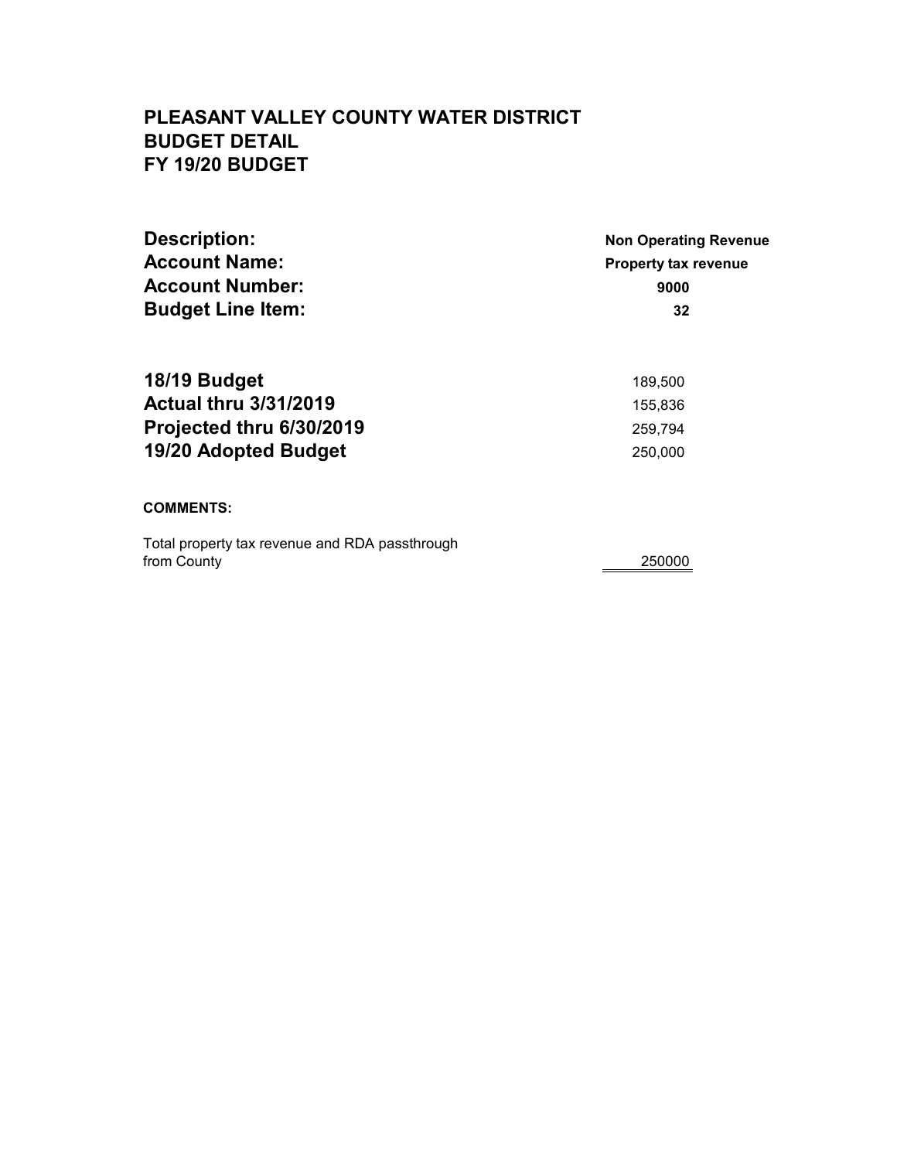| <b>Property tax revenue</b> |  |
|-----------------------------|--|
|                             |  |
| 9000                        |  |
| 32                          |  |
| 189,500                     |  |
| 155,836                     |  |
| 259,794                     |  |
| 250,000                     |  |
|                             |  |

#### **COMMENTS:**

Total property tax revenue and RDA passthrough from County 250000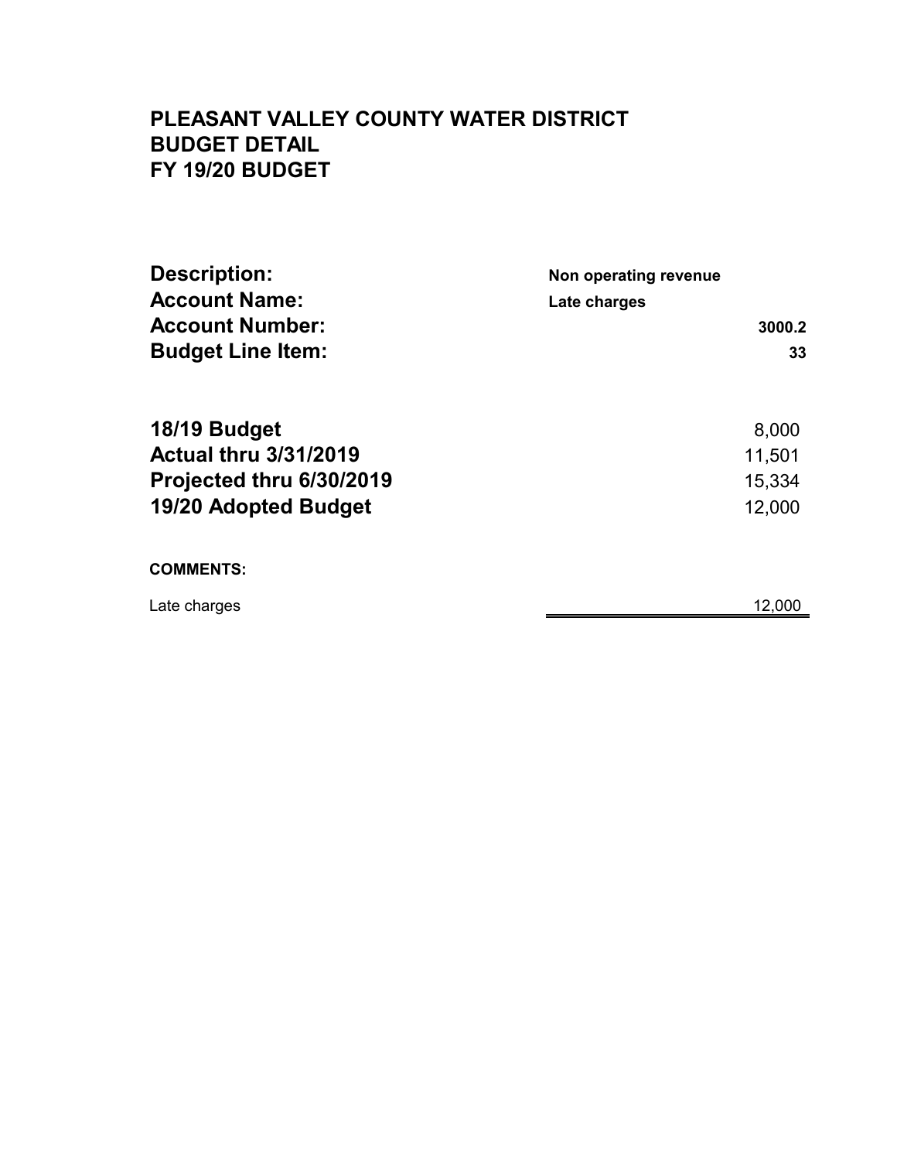| <b>Description:</b>          | Non operating revenue |
|------------------------------|-----------------------|
| <b>Account Name:</b>         | Late charges          |
| <b>Account Number:</b>       | 3000.2                |
| <b>Budget Line Item:</b>     | 33                    |
| 18/19 Budget                 | 8,000                 |
| <b>Actual thru 3/31/2019</b> | 11,501                |
| Projected thru 6/30/2019     | 15,334                |
| <b>19/20 Adopted Budget</b>  | 12,000                |
| <b>COMMENTS:</b>             |                       |
| Late charges                 | 12,000                |
|                              |                       |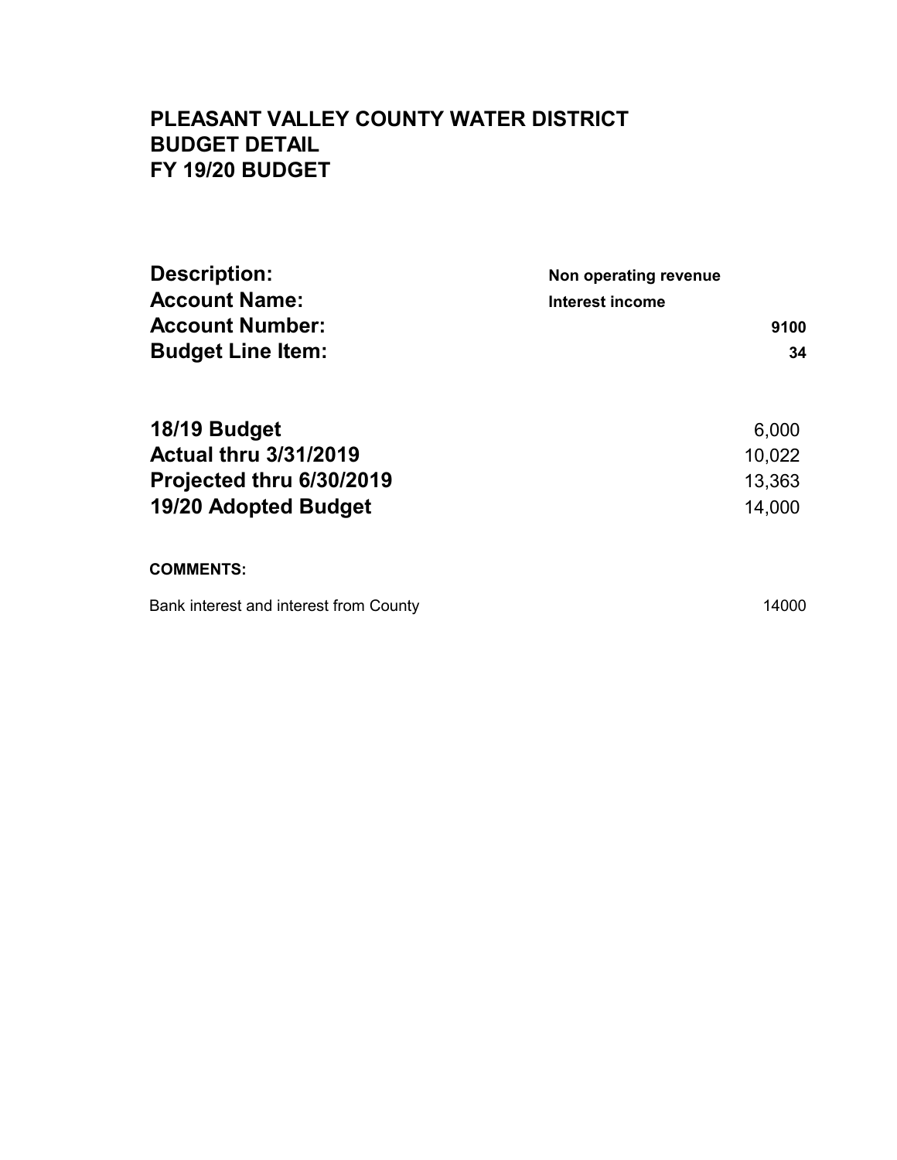| Non operating revenue |
|-----------------------|
| Interest income       |
| 9100                  |
| 34                    |
|                       |
| 6,000                 |
| 10,022                |
| 13,363                |
| 14,000                |
|                       |
| 14000                 |
|                       |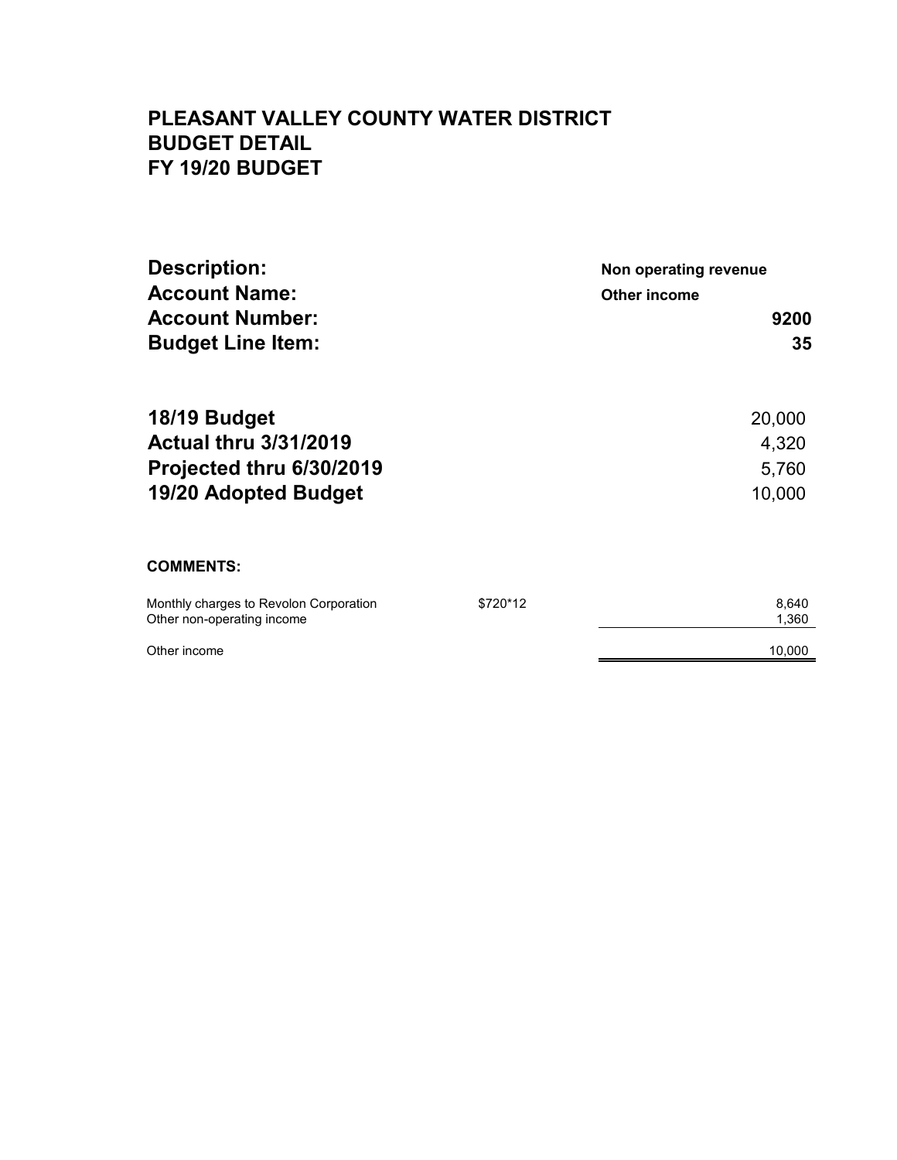| <b>Description:</b>                                                  |          | Non operating revenue |
|----------------------------------------------------------------------|----------|-----------------------|
| <b>Account Name:</b>                                                 |          | Other income          |
| <b>Account Number:</b>                                               |          | 9200                  |
| <b>Budget Line Item:</b>                                             |          | 35                    |
| 18/19 Budget                                                         |          | 20,000                |
| <b>Actual thru 3/31/2019</b>                                         |          | 4,320                 |
| Projected thru 6/30/2019                                             |          | 5,760                 |
| 19/20 Adopted Budget                                                 |          | 10,000                |
| <b>COMMENTS:</b>                                                     |          |                       |
| Monthly charges to Revolon Corporation<br>Other non-operating income | \$720*12 | 8,640<br>1,360        |
| Other income                                                         |          | 10,000                |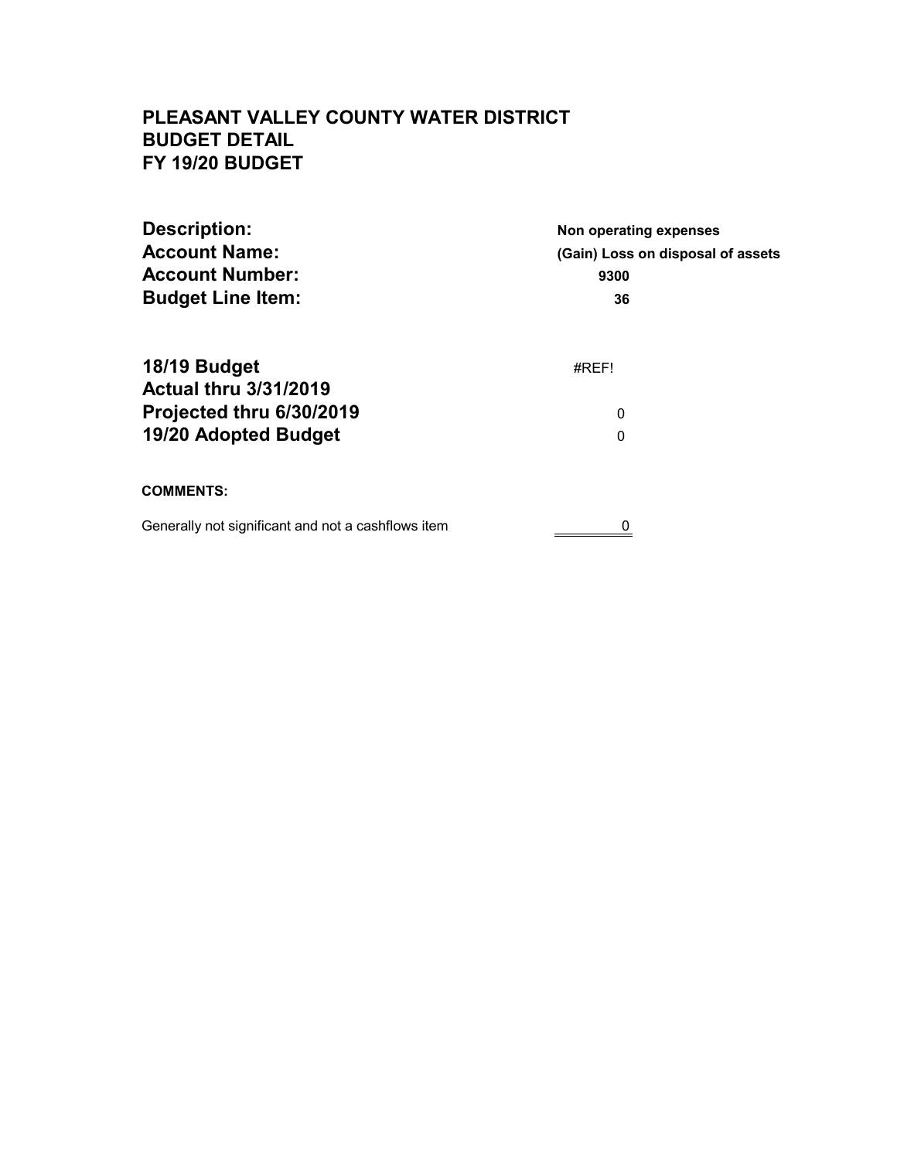| <b>Description:</b>                                | Non operating expenses<br>(Gain) Loss on disposal of assets<br>9300 |  |
|----------------------------------------------------|---------------------------------------------------------------------|--|
| <b>Account Name:</b>                               |                                                                     |  |
| <b>Account Number:</b><br><b>Budget Line Item:</b> |                                                                     |  |
|                                                    | 36                                                                  |  |
| 18/19 Budget                                       | #REF!                                                               |  |
| <b>Actual thru 3/31/2019</b>                       |                                                                     |  |
| Projected thru 6/30/2019                           | 0                                                                   |  |
| <b>19/20 Adopted Budget</b>                        | 0                                                                   |  |
|                                                    |                                                                     |  |
|                                                    |                                                                     |  |

#### **COMMENTS:**

| Generally not significant and not a cashflows item |  |
|----------------------------------------------------|--|
|                                                    |  |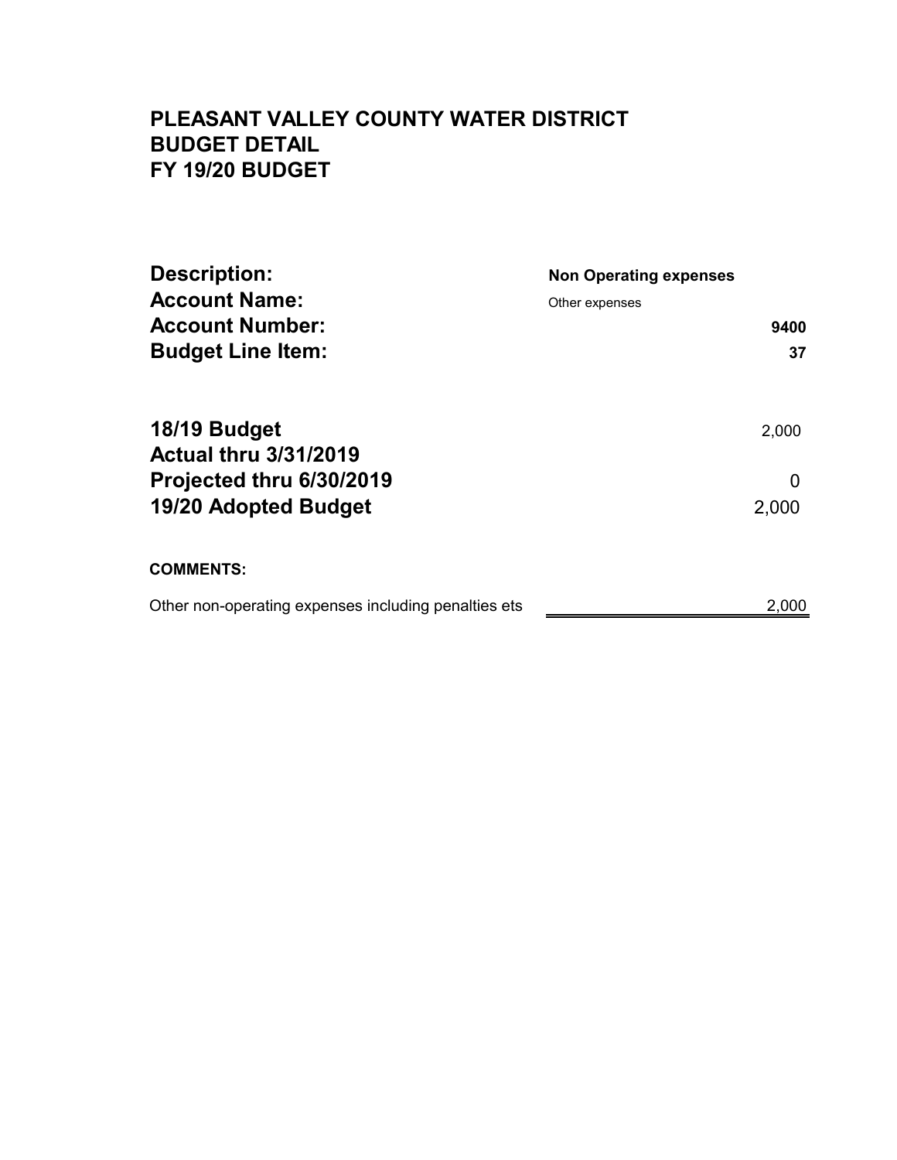| <b>Description:</b>                                  | <b>Non Operating expenses</b> |       |
|------------------------------------------------------|-------------------------------|-------|
| <b>Account Name:</b>                                 | Other expenses                | 9400  |
| <b>Account Number:</b>                               |                               |       |
| <b>Budget Line Item:</b>                             |                               | 37    |
| 18/19 Budget                                         |                               | 2,000 |
| <b>Actual thru 3/31/2019</b>                         |                               |       |
| Projected thru 6/30/2019                             |                               | ∩     |
| 19/20 Adopted Budget                                 |                               | 2,000 |
| <b>COMMENTS:</b>                                     |                               |       |
| Other non-operating expenses including penalties ets |                               | 2.000 |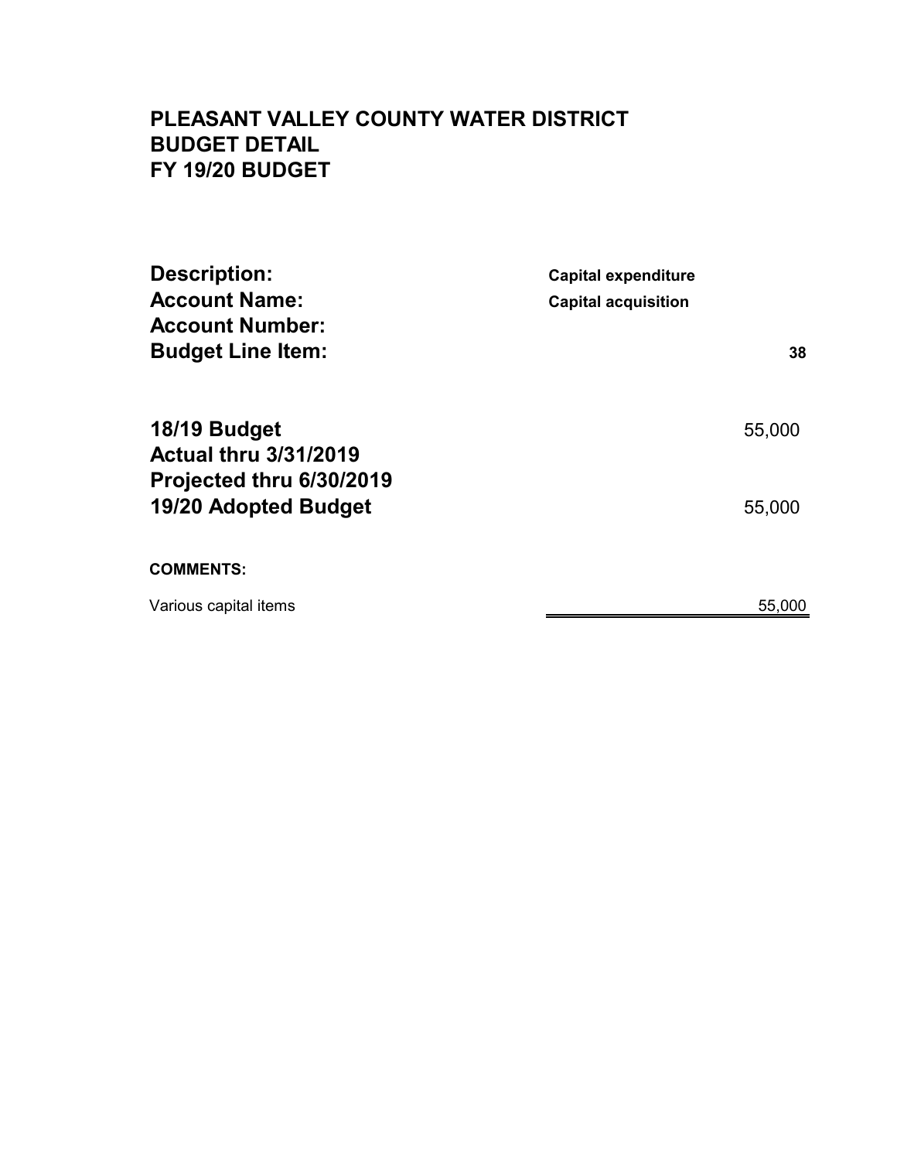| <b>Description:</b><br><b>Account Name:</b><br><b>Account Number:</b><br><b>Budget Line Item:</b> | <b>Capital expenditure</b><br><b>Capital acquisition</b> |
|---------------------------------------------------------------------------------------------------|----------------------------------------------------------|
|                                                                                                   | 38                                                       |
| 18/19 Budget<br><b>Actual thru 3/31/2019</b><br>Projected thru 6/30/2019                          | 55,000                                                   |
| 19/20 Adopted Budget                                                                              | 55,000                                                   |
| <b>COMMENTS:</b>                                                                                  |                                                          |
| Various capital items                                                                             | 55,000                                                   |